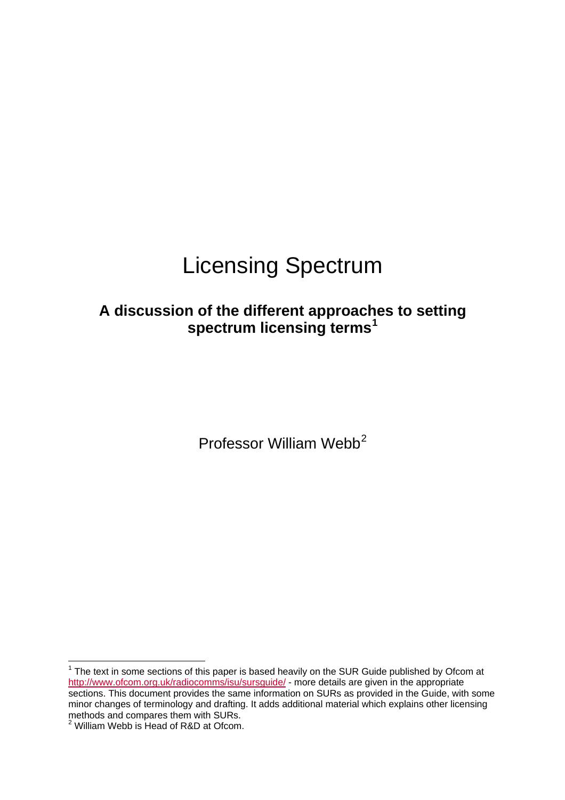# Licensing Spectrum

# **A discussion of the different approach[e](#page-0-0)s to setting spectrum licensing terms[1](#page-0-0)**

Professor William Webb<sup>[2](#page-0-1)</sup>

<span id="page-0-0"></span> $1$  The text in some sections of this paper is based heavily on the SUR Guide published by Ofcom at <http://www.ofcom.org.uk/radiocomms/isu/sursguide/>- more details are given in the appropriate sections. This document provides the same information on SURs as provided in the Guide, with some minor changes of terminology and drafting. It adds additional material which explains other licensing methods and compares them with SURs.<br><sup>2</sup> William Webb is Head of R&D at Ofcom.

<span id="page-0-1"></span>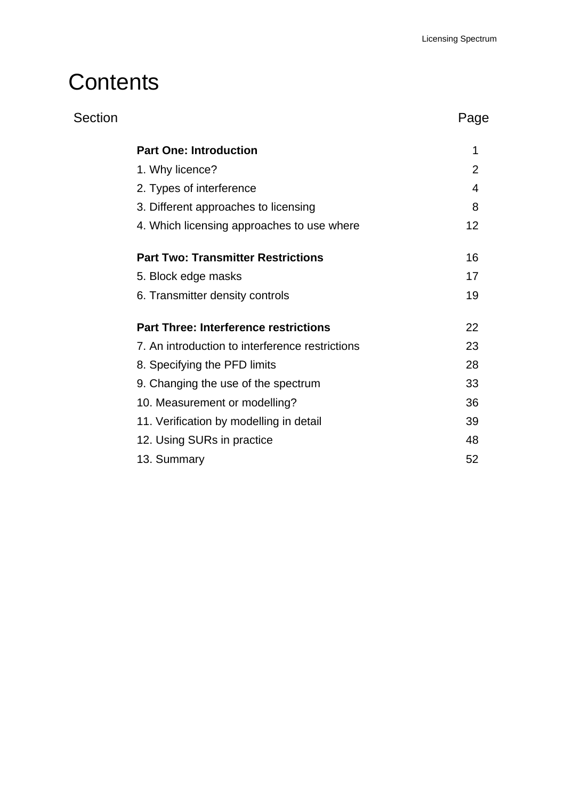# **Contents**

| Section |                                                 | Page           |
|---------|-------------------------------------------------|----------------|
|         | <b>Part One: Introduction</b>                   | 1              |
|         | 1. Why licence?                                 | $\overline{2}$ |
|         | 2. Types of interference                        | 4              |
|         | 3. Different approaches to licensing            | 8              |
|         | 4. Which licensing approaches to use where      | 12             |
|         | <b>Part Two: Transmitter Restrictions</b>       | 16             |
|         | 5. Block edge masks                             | 17             |
|         | 6. Transmitter density controls                 | 19             |
|         | <b>Part Three: Interference restrictions</b>    | 22             |
|         | 7. An introduction to interference restrictions | 23             |
|         | 8. Specifying the PFD limits                    | 28             |
|         | 9. Changing the use of the spectrum             | 33             |
|         | 10. Measurement or modelling?                   | 36             |
|         | 11. Verification by modelling in detail         | 39             |
|         | 12. Using SURs in practice                      | 48             |
|         | 13. Summary                                     | 52             |
|         |                                                 |                |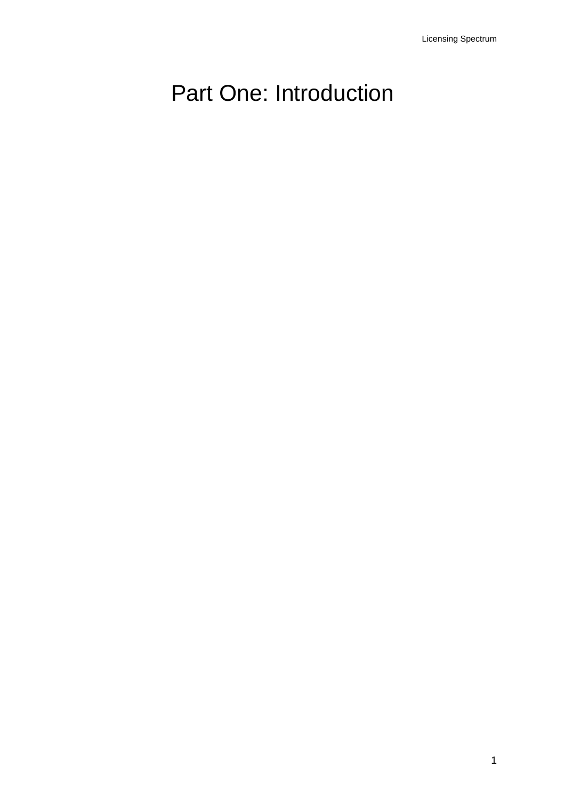# <span id="page-3-0"></span>Part One: Introduction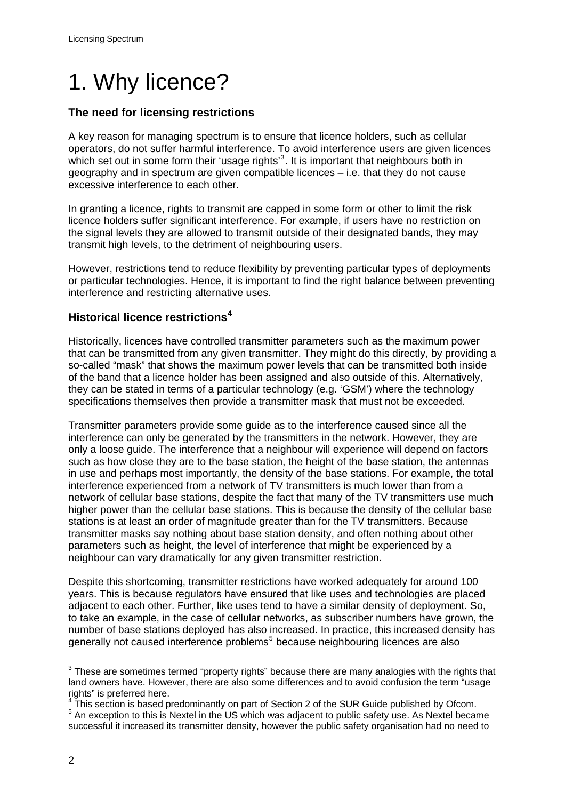# <span id="page-4-0"></span>1. Why licence?

# **The need for licensing restrictions**

A key reason for managing spectrum is to ensure that licence holders, such as cellular operators, do not suffer harmful interference. To avoid interference users are given licences which set out in some form their 'usage rights'<sup>[3](#page-4-1)</sup>. It is important that neighbours both in geography and in spectrum are given compatible licences – i.e. that they do not cause excessive interference to each other.

In granting a licence, rights to transmit are capped in some form or other to limit the risk licence holders suffer significant interference. For example, if users have no restriction on the signal levels they are allowed to transmit outside of their designated bands, they may transmit high levels, to the detriment of neighbouring users.

However, restrictions tend to reduce flexibility by preventing particular types of deployments or particular technologies. Hence, it is important to find the right balance between preventing interference and restricting alternative uses.

# **Historical licence restrictions[4](#page-4-2)**

Historically, licences have controlled transmitter parameters such as the maximum power that can be transmitted from any given transmitter. They might do this directly, by providing a so-called "mask" that shows the maximum power levels that can be transmitted both inside of the band that a licence holder has been assigned and also outside of this. Alternatively, they can be stated in terms of a particular technology (e.g. 'GSM') where the technology specifications themselves then provide a transmitter mask that must not be exceeded.

Transmitter parameters provide some guide as to the interference caused since all the interference can only be generated by the transmitters in the network. However, they are only a loose guide. The interference that a neighbour will experience will depend on factors such as how close they are to the base station, the height of the base station, the antennas in use and perhaps most importantly, the density of the base stations. For example, the total interference experienced from a network of TV transmitters is much lower than from a network of cellular base stations, despite the fact that many of the TV transmitters use much higher power than the cellular base stations. This is because the density of the cellular base stations is at least an order of magnitude greater than for the TV transmitters. Because transmitter masks say nothing about base station density, and often nothing about other parameters such as height, the level of interference that might be experienced by a neighbour can vary dramatically for any given transmitter restriction.

Despite this shortcoming, transmitter restrictions have worked adequately for around 100 years. This is because regulators have ensured that like uses and technologies are placed adjacent to each other. Further, like uses tend to have a similar density of deployment. So, to take an example, in the case of cellular networks, as subscriber numbers have grown, the number of base stations deployed has also increased. In practice, this increased density has generally not caused interference problems<sup>[5](#page-4-3)</sup> because neighbouring licences are also

<span id="page-4-1"></span> $3$  These are sometimes termed "property rights" because there are many analogies with the rights that land owners have. However, there are also some differences and to avoid confusion the term "usage rights" is preferred here.

<span id="page-4-3"></span><span id="page-4-2"></span> $^{4}$  This section is based predominantly on part of Section 2 of the SUR Guide published by Ofcom.<br> $^{5}$  An avenation to this is Navtal in the US which was adjacent to public asfaty was As Navtal because <sup>5</sup> An exception to this is Nextel in the US which was adjacent to public safety use. As Nextel became successful it increased its transmitter density, however the public safety organisation had no need to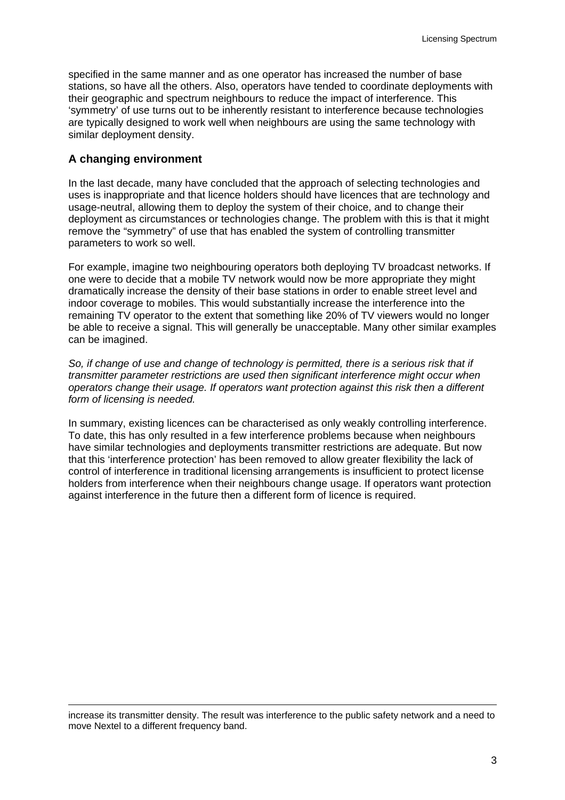specified in the same manner and as one operator has increased the number of base stations, so have all the others. Also, operators have tended to coordinate deployments with their geographic and spectrum neighbours to reduce the impact of interference. This 'symmetry' of use turns out to be inherently resistant to interference because technologies are typically designed to work well when neighbours are using the same technology with similar deployment density.

#### **A changing environment**

In the last decade, many have concluded that the approach of selecting technologies and uses is inappropriate and that licence holders should have licences that are technology and usage-neutral, allowing them to deploy the system of their choice, and to change their deployment as circumstances or technologies change. The problem with this is that it might remove the "symmetry" of use that has enabled the system of controlling transmitter parameters to work so well.

For example, imagine two neighbouring operators both deploying TV broadcast networks. If one were to decide that a mobile TV network would now be more appropriate they might dramatically increase the density of their base stations in order to enable street level and indoor coverage to mobiles. This would substantially increase the interference into the remaining TV operator to the extent that something like 20% of TV viewers would no longer be able to receive a signal. This will generally be unacceptable. Many other similar examples can be imagined.

*So, if change of use and change of technology is permitted, there is a serious risk that if transmitter parameter restrictions are used then significant interference might occur when operators change their usage. If operators want protection against this risk then a different form of licensing is needed.* 

In summary, existing licences can be characterised as only weakly controlling interference. To date, this has only resulted in a few interference problems because when neighbours have similar technologies and deployments transmitter restrictions are adequate. But now that this 'interference protection' has been removed to allow greater flexibility the lack of control of interference in traditional licensing arrangements is insufficient to protect license holders from interference when their neighbours change usage. If operators want protection against interference in the future then a different form of licence is required.

increase its transmitter density. The result was interference to the public safety network and a need to move Nextel to a different frequency band.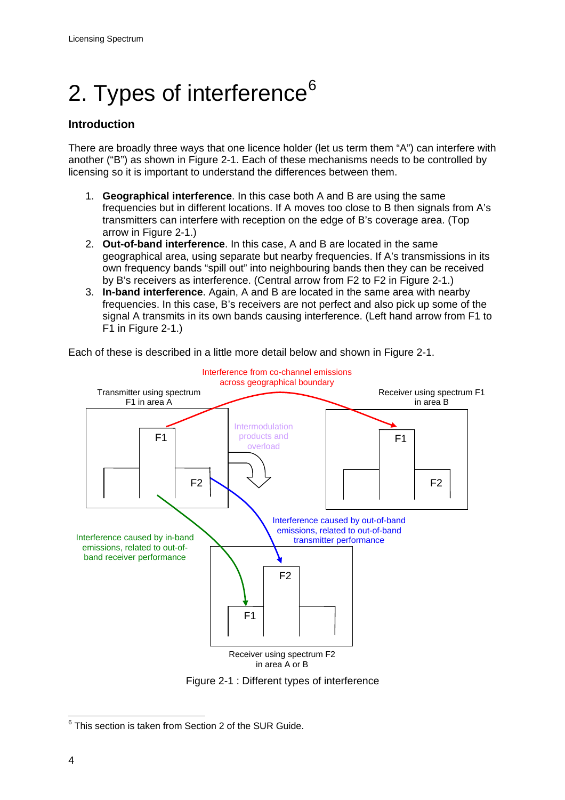# <span id="page-6-0"></span>2. Types of interference<sup>[6](#page-6-1)</sup>

# **Introduction**

There are broadly three ways that one licence holder (let us term them "A") can interfere with another ("B") as shown in Figure 2-1. Each of these mechanisms needs to be controlled by licensing so it is important to understand the differences between them.

- 1. **Geographical interference**. In this case both A and B are using the same frequencies but in different locations. If A moves too close to B then signals from A's transmitters can interfere with reception on the edge of B's coverage area. (Top arrow in Figure 2-1.)
- 2. **Out-of-band interference**. In this case, A and B are located in the same geographical area, using separate but nearby frequencies. If A's transmissions in its own frequency bands "spill out" into neighbouring bands then they can be received by B's receivers as interference. (Central arrow from F2 to F2 in Figure 2-1.)
- 3. **In-band interference**. Again, A and B are located in the same area with nearby frequencies. In this case, B's receivers are not perfect and also pick up some of the signal A transmits in its own bands causing interference. (Left hand arrow from F1 to F1 in Figure 2-1.)

Each of these is described in a little more detail below and shown in Figure 2-1.





<span id="page-6-1"></span> <sup>6</sup> This section is taken from Section 2 of the SUR Guide.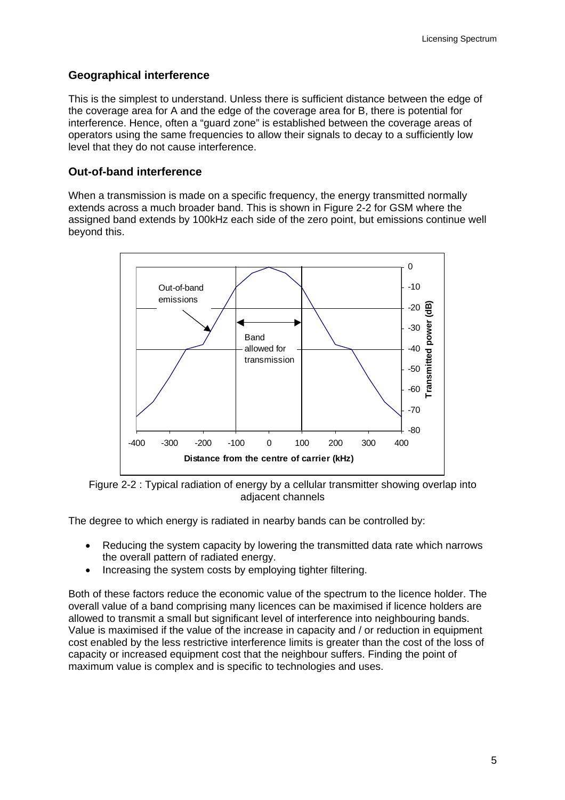# **Geographical interference**

This is the simplest to understand. Unless there is sufficient distance between the edge of the coverage area for A and the edge of the coverage area for B, there is potential for interference. Hence, often a "guard zone" is established between the coverage areas of operators using the same frequencies to allow their signals to decay to a sufficiently low level that they do not cause interference.

# **Out-of-band interference**

When a transmission is made on a specific frequency, the energy transmitted normally extends across a much broader band. This is shown in Figure 2-2 for GSM where the assigned band extends by 100kHz each side of the zero point, but emissions continue well beyond this.



Figure 2-2 : Typical radiation of energy by a cellular transmitter showing overlap into adjacent channels

The degree to which energy is radiated in nearby bands can be controlled by:

- Reducing the system capacity by lowering the transmitted data rate which narrows the overall pattern of radiated energy.
- Increasing the system costs by employing tighter filtering.

Both of these factors reduce the economic value of the spectrum to the licence holder. The overall value of a band comprising many licences can be maximised if licence holders are allowed to transmit a small but significant level of interference into neighbouring bands. Value is maximised if the value of the increase in capacity and / or reduction in equipment cost enabled by the less restrictive interference limits is greater than the cost of the loss of capacity or increased equipment cost that the neighbour suffers. Finding the point of maximum value is complex and is specific to technologies and uses.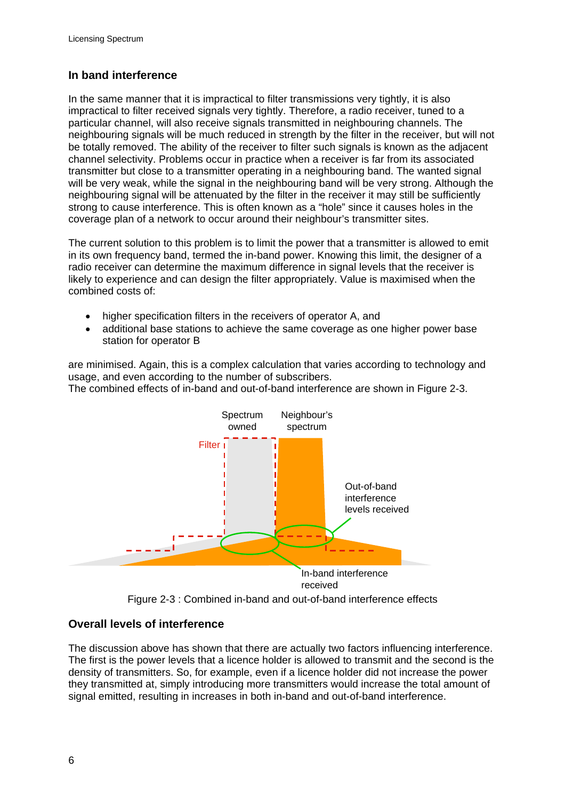# **In band interference**

In the same manner that it is impractical to filter transmissions very tightly, it is also impractical to filter received signals very tightly. Therefore, a radio receiver, tuned to a particular channel, will also receive signals transmitted in neighbouring channels. The neighbouring signals will be much reduced in strength by the filter in the receiver, but will not be totally removed. The ability of the receiver to filter such signals is known as the adjacent channel selectivity. Problems occur in practice when a receiver is far from its associated transmitter but close to a transmitter operating in a neighbouring band. The wanted signal will be very weak, while the signal in the neighbouring band will be very strong. Although the neighbouring signal will be attenuated by the filter in the receiver it may still be sufficiently strong to cause interference. This is often known as a "hole" since it causes holes in the coverage plan of a network to occur around their neighbour's transmitter sites.

The current solution to this problem is to limit the power that a transmitter is allowed to emit in its own frequency band, termed the in-band power. Knowing this limit, the designer of a radio receiver can determine the maximum difference in signal levels that the receiver is likely to experience and can design the filter appropriately. Value is maximised when the combined costs of:

- higher specification filters in the receivers of operator A, and
- additional base stations to achieve the same coverage as one higher power base station for operator B

are minimised. Again, this is a complex calculation that varies according to technology and usage, and even according to the number of subscribers.

The combined effects of in-band and out-of-band interference are shown in Figure 2-3.



Figure 2-3 : Combined in-band and out-of-band interference effects

# **Overall levels of interference**

The discussion above has shown that there are actually two factors influencing interference. The first is the power levels that a licence holder is allowed to transmit and the second is the density of transmitters. So, for example, even if a licence holder did not increase the power they transmitted at, simply introducing more transmitters would increase the total amount of signal emitted, resulting in increases in both in-band and out-of-band interference.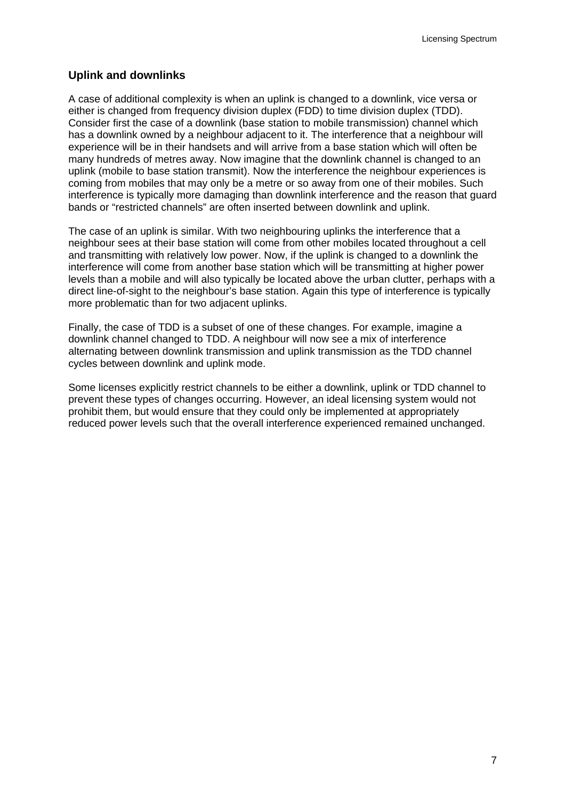### **Uplink and downlinks**

A case of additional complexity is when an uplink is changed to a downlink, vice versa or either is changed from frequency division duplex (FDD) to time division duplex (TDD). Consider first the case of a downlink (base station to mobile transmission) channel which has a downlink owned by a neighbour adjacent to it. The interference that a neighbour will experience will be in their handsets and will arrive from a base station which will often be many hundreds of metres away. Now imagine that the downlink channel is changed to an uplink (mobile to base station transmit). Now the interference the neighbour experiences is coming from mobiles that may only be a metre or so away from one of their mobiles. Such interference is typically more damaging than downlink interference and the reason that guard bands or "restricted channels" are often inserted between downlink and uplink.

The case of an uplink is similar. With two neighbouring uplinks the interference that a neighbour sees at their base station will come from other mobiles located throughout a cell and transmitting with relatively low power. Now, if the uplink is changed to a downlink the interference will come from another base station which will be transmitting at higher power levels than a mobile and will also typically be located above the urban clutter, perhaps with a direct line-of-sight to the neighbour's base station. Again this type of interference is typically more problematic than for two adjacent uplinks.

Finally, the case of TDD is a subset of one of these changes. For example, imagine a downlink channel changed to TDD. A neighbour will now see a mix of interference alternating between downlink transmission and uplink transmission as the TDD channel cycles between downlink and uplink mode.

Some licenses explicitly restrict channels to be either a downlink, uplink or TDD channel to prevent these types of changes occurring. However, an ideal licensing system would not prohibit them, but would ensure that they could only be implemented at appropriately reduced power levels such that the overall interference experienced remained unchanged.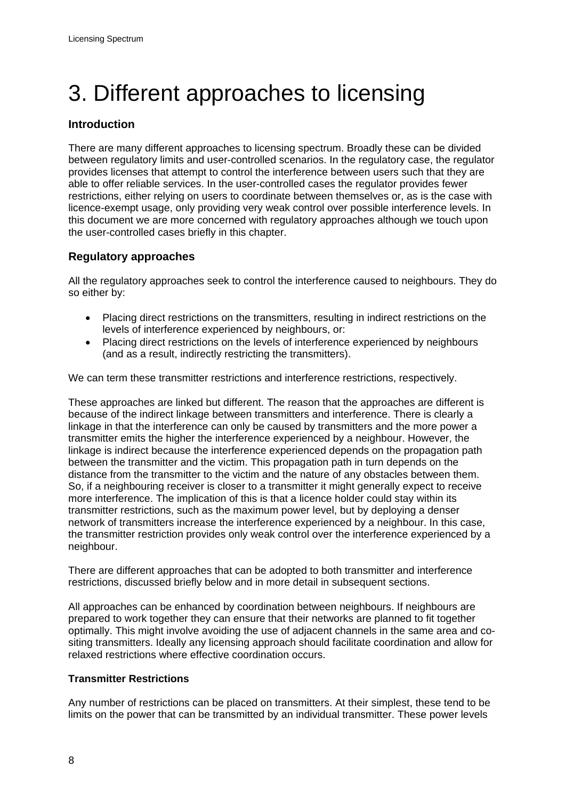# <span id="page-10-0"></span>3. Different approaches to licensing

# **Introduction**

There are many different approaches to licensing spectrum. Broadly these can be divided between regulatory limits and user-controlled scenarios. In the regulatory case, the regulator provides licenses that attempt to control the interference between users such that they are able to offer reliable services. In the user-controlled cases the regulator provides fewer restrictions, either relying on users to coordinate between themselves or, as is the case with licence-exempt usage, only providing very weak control over possible interference levels. In this document we are more concerned with regulatory approaches although we touch upon the user-controlled cases briefly in this chapter.

# **Regulatory approaches**

All the regulatory approaches seek to control the interference caused to neighbours. They do so either by:

- Placing direct restrictions on the transmitters, resulting in indirect restrictions on the levels of interference experienced by neighbours, or:
- Placing direct restrictions on the levels of interference experienced by neighbours (and as a result, indirectly restricting the transmitters).

We can term these transmitter restrictions and interference restrictions, respectively.

These approaches are linked but different. The reason that the approaches are different is because of the indirect linkage between transmitters and interference. There is clearly a linkage in that the interference can only be caused by transmitters and the more power a transmitter emits the higher the interference experienced by a neighbour. However, the linkage is indirect because the interference experienced depends on the propagation path between the transmitter and the victim. This propagation path in turn depends on the distance from the transmitter to the victim and the nature of any obstacles between them. So, if a neighbouring receiver is closer to a transmitter it might generally expect to receive more interference. The implication of this is that a licence holder could stay within its transmitter restrictions, such as the maximum power level, but by deploying a denser network of transmitters increase the interference experienced by a neighbour. In this case, the transmitter restriction provides only weak control over the interference experienced by a neighbour.

There are different approaches that can be adopted to both transmitter and interference restrictions, discussed briefly below and in more detail in subsequent sections.

All approaches can be enhanced by coordination between neighbours. If neighbours are prepared to work together they can ensure that their networks are planned to fit together optimally. This might involve avoiding the use of adjacent channels in the same area and cositing transmitters. Ideally any licensing approach should facilitate coordination and allow for relaxed restrictions where effective coordination occurs.

#### **Transmitter Restrictions**

Any number of restrictions can be placed on transmitters. At their simplest, these tend to be limits on the power that can be transmitted by an individual transmitter. These power levels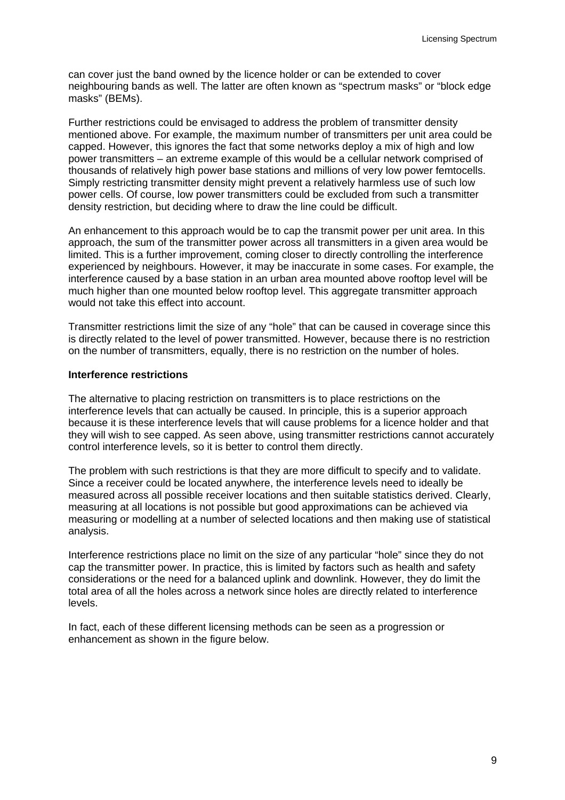can cover just the band owned by the licence holder or can be extended to cover neighbouring bands as well. The latter are often known as "spectrum masks" or "block edge masks" (BEMs).

Further restrictions could be envisaged to address the problem of transmitter density mentioned above. For example, the maximum number of transmitters per unit area could be capped. However, this ignores the fact that some networks deploy a mix of high and low power transmitters – an extreme example of this would be a cellular network comprised of thousands of relatively high power base stations and millions of very low power femtocells. Simply restricting transmitter density might prevent a relatively harmless use of such low power cells. Of course, low power transmitters could be excluded from such a transmitter density restriction, but deciding where to draw the line could be difficult.

An enhancement to this approach would be to cap the transmit power per unit area. In this approach, the sum of the transmitter power across all transmitters in a given area would be limited. This is a further improvement, coming closer to directly controlling the interference experienced by neighbours. However, it may be inaccurate in some cases. For example, the interference caused by a base station in an urban area mounted above rooftop level will be much higher than one mounted below rooftop level. This aggregate transmitter approach would not take this effect into account.

Transmitter restrictions limit the size of any "hole" that can be caused in coverage since this is directly related to the level of power transmitted. However, because there is no restriction on the number of transmitters, equally, there is no restriction on the number of holes.

#### **Interference restrictions**

The alternative to placing restriction on transmitters is to place restrictions on the interference levels that can actually be caused. In principle, this is a superior approach because it is these interference levels that will cause problems for a licence holder and that they will wish to see capped. As seen above, using transmitter restrictions cannot accurately control interference levels, so it is better to control them directly.

The problem with such restrictions is that they are more difficult to specify and to validate. Since a receiver could be located anywhere, the interference levels need to ideally be measured across all possible receiver locations and then suitable statistics derived. Clearly, measuring at all locations is not possible but good approximations can be achieved via measuring or modelling at a number of selected locations and then making use of statistical analysis.

Interference restrictions place no limit on the size of any particular "hole" since they do not cap the transmitter power. In practice, this is limited by factors such as health and safety considerations or the need for a balanced uplink and downlink. However, they do limit the total area of all the holes across a network since holes are directly related to interference levels.

In fact, each of these different licensing methods can be seen as a progression or enhancement as shown in the figure below.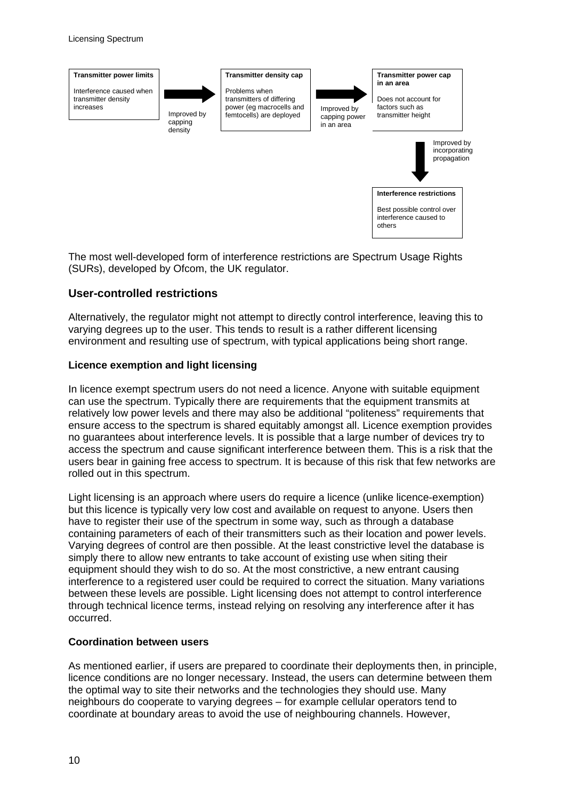

The most well-developed form of interference restrictions are Spectrum Usage Rights (SURs), developed by Ofcom, the UK regulator.

#### **User-controlled restrictions**

Alternatively, the regulator might not attempt to directly control interference, leaving this to varying degrees up to the user. This tends to result is a rather different licensing environment and resulting use of spectrum, with typical applications being short range.

#### **Licence exemption and light licensing**

In licence exempt spectrum users do not need a licence. Anyone with suitable equipment can use the spectrum. Typically there are requirements that the equipment transmits at relatively low power levels and there may also be additional "politeness" requirements that ensure access to the spectrum is shared equitably amongst all. Licence exemption provides no guarantees about interference levels. It is possible that a large number of devices try to access the spectrum and cause significant interference between them. This is a risk that the users bear in gaining free access to spectrum. It is because of this risk that few networks are rolled out in this spectrum.

Light licensing is an approach where users do require a licence (unlike licence-exemption) but this licence is typically very low cost and available on request to anyone. Users then have to register their use of the spectrum in some way, such as through a database containing parameters of each of their transmitters such as their location and power levels. Varying degrees of control are then possible. At the least constrictive level the database is simply there to allow new entrants to take account of existing use when siting their equipment should they wish to do so. At the most constrictive, a new entrant causing interference to a registered user could be required to correct the situation. Many variations between these levels are possible. Light licensing does not attempt to control interference through technical licence terms, instead relying on resolving any interference after it has occurred.

#### **Coordination between users**

As mentioned earlier, if users are prepared to coordinate their deployments then, in principle, licence conditions are no longer necessary. Instead, the users can determine between them the optimal way to site their networks and the technologies they should use. Many neighbours do cooperate to varying degrees – for example cellular operators tend to coordinate at boundary areas to avoid the use of neighbouring channels. However,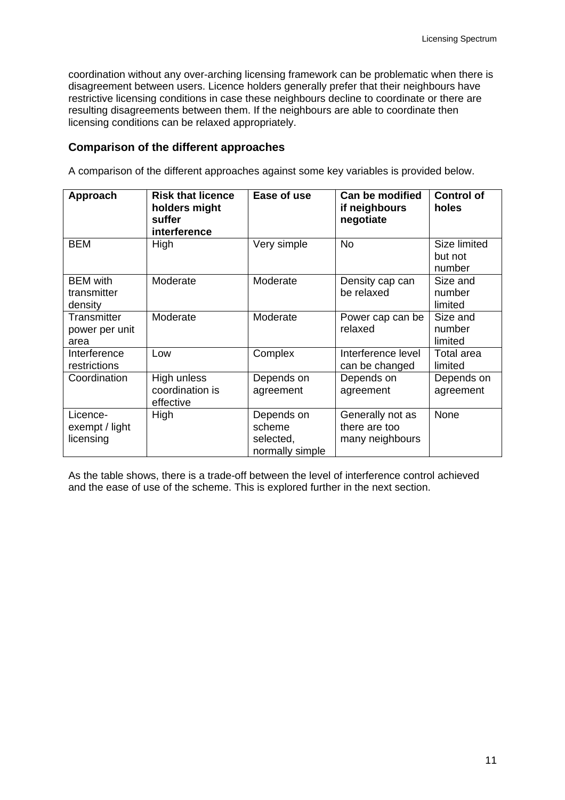coordination without any over-arching licensing framework can be problematic when there is disagreement between users. Licence holders generally prefer that their neighbours have restrictive licensing conditions in case these neighbours decline to coordinate or there are resulting disagreements between them. If the neighbours are able to coordinate then licensing conditions can be relaxed appropriately.

#### **Comparison of the different approaches**

A comparison of the different approaches against some key variables is provided below.

| Approach                                  | <b>Risk that licence</b><br>holders might<br>suffer<br>interference | Ease of use                                          | Can be modified<br>if neighbours<br>negotiate        | <b>Control of</b><br>holes        |
|-------------------------------------------|---------------------------------------------------------------------|------------------------------------------------------|------------------------------------------------------|-----------------------------------|
| <b>BEM</b>                                | High                                                                | Very simple                                          | <b>No</b>                                            | Size limited<br>but not<br>number |
| <b>BEM</b> with<br>transmitter<br>density | Moderate                                                            | Moderate                                             | Density cap can<br>be relaxed                        | Size and<br>number<br>limited     |
| Transmitter<br>power per unit<br>area     | Moderate                                                            | Moderate                                             | Power cap can be<br>relaxed                          | Size and<br>number<br>limited     |
| Interference<br>restrictions              | Low                                                                 | Complex                                              | Interference level<br>can be changed                 | Total area<br>limited             |
| Coordination                              | High unless<br>coordination is<br>effective                         | Depends on<br>agreement                              | Depends on<br>agreement                              | Depends on<br>agreement           |
| Licence-<br>exempt / light<br>licensing   | High                                                                | Depends on<br>scheme<br>selected,<br>normally simple | Generally not as<br>there are too<br>many neighbours | None                              |

As the table shows, there is a trade-off between the level of interference control achieved and the ease of use of the scheme. This is explored further in the next section.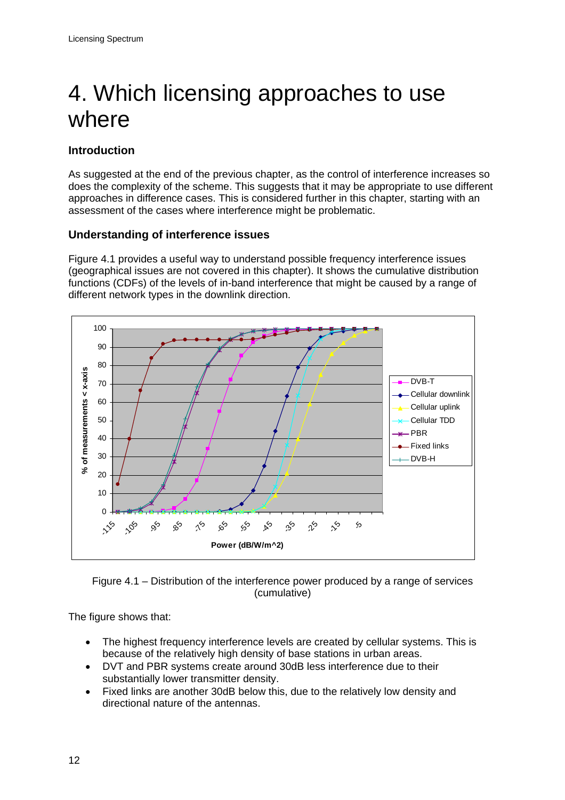# <span id="page-14-0"></span>4. Which licensing approaches to use where

# **Introduction**

As suggested at the end of the previous chapter, as the control of interference increases so does the complexity of the scheme. This suggests that it may be appropriate to use different approaches in difference cases. This is considered further in this chapter, starting with an assessment of the cases where interference might be problematic.

# **Understanding of interference issues**

Figure 4.1 provides a useful way to understand possible frequency interference issues (geographical issues are not covered in this chapter). It shows the cumulative distribution functions (CDFs) of the levels of in-band interference that might be caused by a range of different network types in the downlink direction.





The figure shows that:

- The highest frequency interference levels are created by cellular systems. This is because of the relatively high density of base stations in urban areas.
- DVT and PBR systems create around 30dB less interference due to their substantially lower transmitter density.
- Fixed links are another 30dB below this, due to the relatively low density and directional nature of the antennas.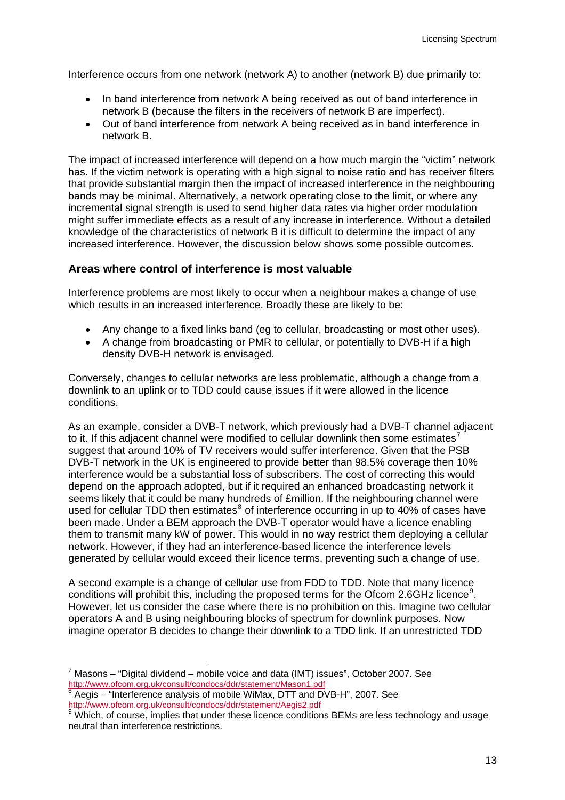Interference occurs from one network (network A) to another (network B) due primarily to:

- In band interference from network A being received as out of band interference in network B (because the filters in the receivers of network B are imperfect).
- Out of band interference from network A being received as in band interference in network B.

The impact of increased interference will depend on a how much margin the "victim" network has. If the victim network is operating with a high signal to noise ratio and has receiver filters that provide substantial margin then the impact of increased interference in the neighbouring bands may be minimal. Alternatively, a network operating close to the limit, or where any incremental signal strength is used to send higher data rates via higher order modulation might suffer immediate effects as a result of any increase in interference. Without a detailed knowledge of the characteristics of network B it is difficult to determine the impact of any increased interference. However, the discussion below shows some possible outcomes.

#### **Areas where control of interference is most valuable**

Interference problems are most likely to occur when a neighbour makes a change of use which results in an increased interference. Broadly these are likely to be:

- Any change to a fixed links band (eg to cellular, broadcasting or most other uses).
- A change from broadcasting or PMR to cellular, or potentially to DVB-H if a high density DVB-H network is envisaged.

Conversely, changes to cellular networks are less problematic, although a change from a downlink to an uplink or to TDD could cause issues if it were allowed in the licence conditions.

As an example, consider a DVB-T network, which previously had a DVB-T channel adjacent to it. If this adiacent channel were modified to cellular downlink then some estimates<sup>[7](#page-15-0)</sup> suggest that around 10% of TV receivers would suffer interference. Given that the PSB DVB-T network in the UK is engineered to provide better than 98.5% coverage then 10% interference would be a substantial loss of subscribers. The cost of correcting this would depend on the approach adopted, but if it required an enhanced broadcasting network it seems likely that it could be many hundreds of £million. If the neighbouring channel were used for cellular TDD then estimates $^8$  $^8$  of interference occurring in up to 40% of cases have been made. Under a BEM approach the DVB-T operator would have a licence enabling them to transmit many kW of power. This would in no way restrict them deploying a cellular network. However, if they had an interference-based licence the interference levels generated by cellular would exceed their licence terms, preventing such a change of use.

A second example is a change of cellular use from FDD to TDD. Note that many licence conditions will prohibit this, including the proposed terms for the Ofcom 2.6GHz licence<sup>[9](#page-15-2)</sup>. However, let us consider the case where there is no prohibition on this. Imagine two cellular operators A and B using neighbouring blocks of spectrum for downlink purposes. Now imagine operator B decides to change their downlink to a TDD link. If an unrestricted TDD

<span id="page-15-0"></span> $^7$  Masons – "Digital dividend – mobile voice and data (IMT) issues", October 2007. See <http://www.ofcom.org.uk/consult/condocs/ddr/statement/Mason1.pdf> [8](http://www.ofcom.org.uk/consult/condocs/ddr/statement/Mason1.pdf)

Aegis – "Interference analysis of mobile WiMax, DTT and DVB-H", 2007. See<br>
http://www.ofcom.org.uk/consult/condocs/ddr/statement/Aegis2.pdf

<span id="page-15-2"></span><span id="page-15-1"></span><sup>&</sup>lt;u><http://www.ofcom.org.uk/consult/condocs/ddr/statement/Aegis2.pdf></u><br><sup>[9](http://www.ofcom.org.uk/consult/condocs/ddr/statement/Aegis2.pdf)</sup> Which, of course, implies that under these licence conditions BEMs are less technology and usage neutral than interference restrictions.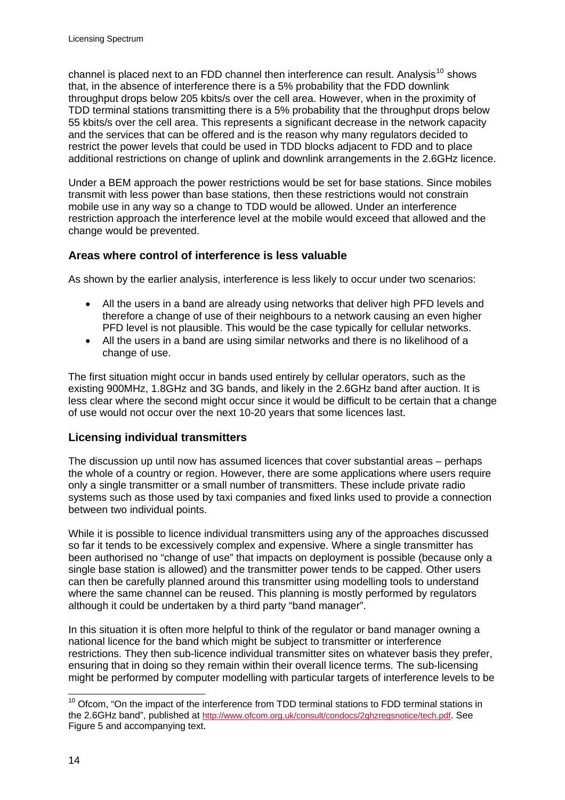channel is placed next to an FDD channel then interference can result. Analysis<sup>[10](#page-16-0)</sup> shows that, in the absence of interference there is a 5% probability that the FDD downlink throughput drops below 205 kbits/s over the cell area. However, when in the proximity of TDD terminal stations transmitting there is a 5% probability that the throughput drops below 55 kbits/s over the cell area. This represents a significant decrease in the network capacity and the services that can be offered and is the reason why many regulators decided to restrict the power levels that could be used in TDD blocks adjacent to FDD and to place additional restrictions on change of uplink and downlink arrangements in the 2.6GHz licence.

Under a BEM approach the power restrictions would be set for base stations. Since mobiles transmit with less power than base stations, then these restrictions would not constrain mobile use in any way so a change to TDD would be allowed. Under an interference restriction approach the interference level at the mobile would exceed that allowed and the change would be prevented.

# **Areas where control of interference is less valuable**

As shown by the earlier analysis, interference is less likely to occur under two scenarios:

- All the users in a band are already using networks that deliver high PFD levels and therefore a change of use of their neighbours to a network causing an even higher PFD level is not plausible. This would be the case typically for cellular networks.
- All the users in a band are using similar networks and there is no likelihood of a change of use.

The first situation might occur in bands used entirely by cellular operators, such as the existing 900MHz, 1.8GHz and 3G bands, and likely in the 2.6GHz band after auction. It is less clear where the second might occur since it would be difficult to be certain that a change of use would not occur over the next 10-20 years that some licences last.

# **Licensing individual transmitters**

The discussion up until now has assumed licences that cover substantial areas – perhaps the whole of a country or region. However, there are some applications where users require only a single transmitter or a small number of transmitters. These include private radio systems such as those used by taxi companies and fixed links used to provide a connection between two individual points.

While it is possible to licence individual transmitters using any of the approaches discussed so far it tends to be excessively complex and expensive. Where a single transmitter has been authorised no "change of use" that impacts on deployment is possible (because only a single base station is allowed) and the transmitter power tends to be capped. Other users can then be carefully planned around this transmitter using modelling tools to understand where the same channel can be reused. This planning is mostly performed by regulators although it could be undertaken by a third party "band manager".

In this situation it is often more helpful to think of the regulator or band manager owning a national licence for the band which might be subject to transmitter or interference restrictions. They then sub-licence individual transmitter sites on whatever basis they prefer, ensuring that in doing so they remain within their overall licence terms. The sub-licensing might be performed by computer modelling with particular targets of interference levels to be

<span id="page-16-0"></span> $10$  Ofcom, "On the impact of the interference from TDD terminal stations to FDD terminal stations in the 2.6GHz band", published at [http://www.ofcom.org.uk/consult/condocs/2ghzregsnotice/tech.pdf.](http://www.ofcom.org.uk/consult/condocs/2ghzregsnotice/tech.pdf) See Figure 5 and accompanying text.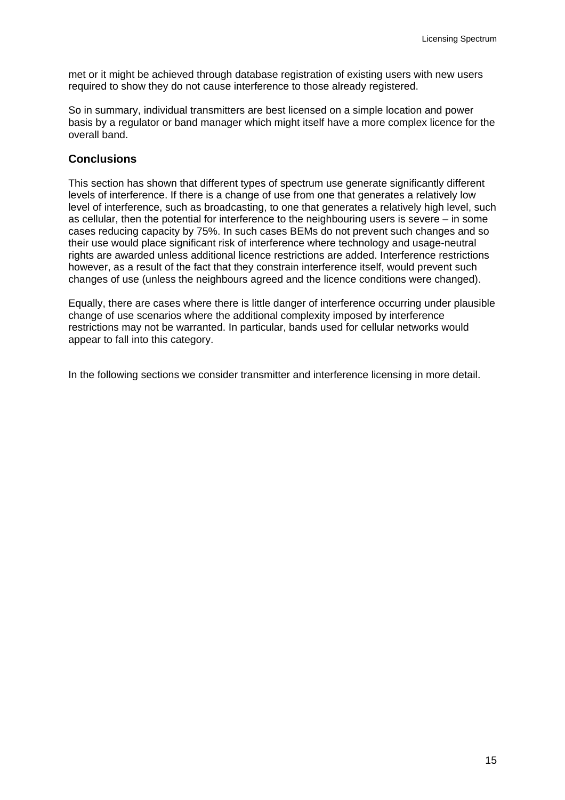met or it might be achieved through database registration of existing users with new users required to show they do not cause interference to those already registered.

So in summary, individual transmitters are best licensed on a simple location and power basis by a regulator or band manager which might itself have a more complex licence for the overall band.

# **Conclusions**

This section has shown that different types of spectrum use generate significantly different levels of interference. If there is a change of use from one that generates a relatively low level of interference, such as broadcasting, to one that generates a relatively high level, such as cellular, then the potential for interference to the neighbouring users is severe – in some cases reducing capacity by 75%. In such cases BEMs do not prevent such changes and so their use would place significant risk of interference where technology and usage-neutral rights are awarded unless additional licence restrictions are added. Interference restrictions however, as a result of the fact that they constrain interference itself, would prevent such changes of use (unless the neighbours agreed and the licence conditions were changed).

Equally, there are cases where there is little danger of interference occurring under plausible change of use scenarios where the additional complexity imposed by interference restrictions may not be warranted. In particular, bands used for cellular networks would appear to fall into this category.

In the following sections we consider transmitter and interference licensing in more detail.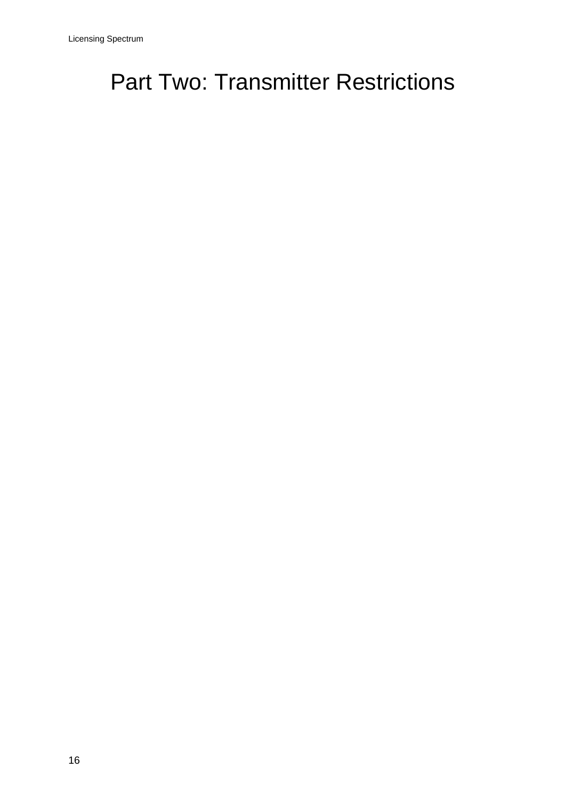# <span id="page-18-0"></span>**Part Two: Transmitter Restrictions**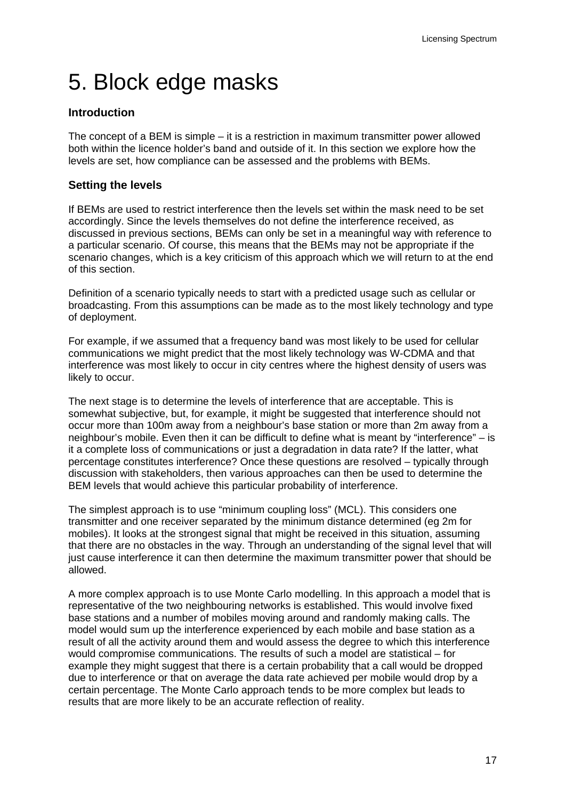# <span id="page-19-0"></span>5. Block edge masks

### **Introduction**

The concept of a BEM is simple – it is a restriction in maximum transmitter power allowed both within the licence holder's band and outside of it. In this section we explore how the levels are set, how compliance can be assessed and the problems with BEMs.

### **Setting the levels**

If BEMs are used to restrict interference then the levels set within the mask need to be set accordingly. Since the levels themselves do not define the interference received, as discussed in previous sections, BEMs can only be set in a meaningful way with reference to a particular scenario. Of course, this means that the BEMs may not be appropriate if the scenario changes, which is a key criticism of this approach which we will return to at the end of this section.

Definition of a scenario typically needs to start with a predicted usage such as cellular or broadcasting. From this assumptions can be made as to the most likely technology and type of deployment.

For example, if we assumed that a frequency band was most likely to be used for cellular communications we might predict that the most likely technology was W-CDMA and that interference was most likely to occur in city centres where the highest density of users was likely to occur.

The next stage is to determine the levels of interference that are acceptable. This is somewhat subjective, but, for example, it might be suggested that interference should not occur more than 100m away from a neighbour's base station or more than 2m away from a neighbour's mobile. Even then it can be difficult to define what is meant by "interference" – is it a complete loss of communications or just a degradation in data rate? If the latter, what percentage constitutes interference? Once these questions are resolved – typically through discussion with stakeholders, then various approaches can then be used to determine the BEM levels that would achieve this particular probability of interference.

The simplest approach is to use "minimum coupling loss" (MCL). This considers one transmitter and one receiver separated by the minimum distance determined (eg 2m for mobiles). It looks at the strongest signal that might be received in this situation, assuming that there are no obstacles in the way. Through an understanding of the signal level that will just cause interference it can then determine the maximum transmitter power that should be allowed.

A more complex approach is to use Monte Carlo modelling. In this approach a model that is representative of the two neighbouring networks is established. This would involve fixed base stations and a number of mobiles moving around and randomly making calls. The model would sum up the interference experienced by each mobile and base station as a result of all the activity around them and would assess the degree to which this interference would compromise communications. The results of such a model are statistical – for example they might suggest that there is a certain probability that a call would be dropped due to interference or that on average the data rate achieved per mobile would drop by a certain percentage. The Monte Carlo approach tends to be more complex but leads to results that are more likely to be an accurate reflection of reality.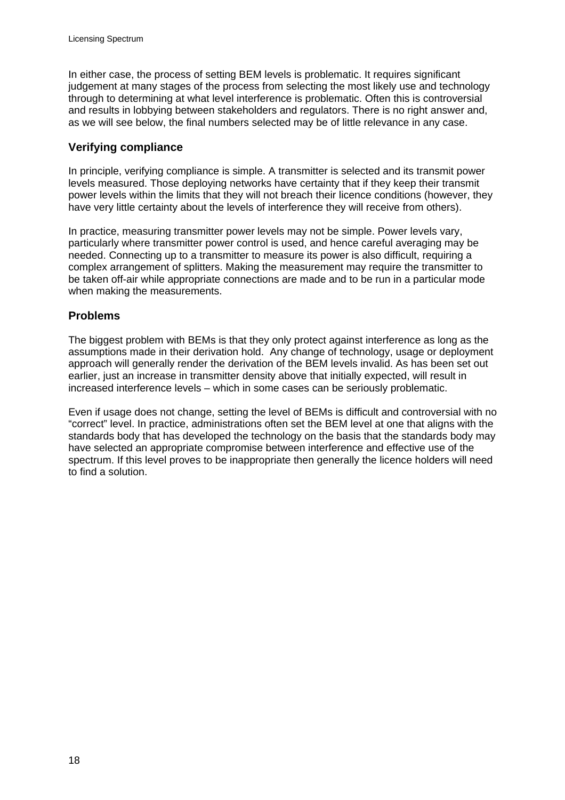In either case, the process of setting BEM levels is problematic. It requires significant judgement at many stages of the process from selecting the most likely use and technology through to determining at what level interference is problematic. Often this is controversial and results in lobbying between stakeholders and regulators. There is no right answer and, as we will see below, the final numbers selected may be of little relevance in any case.

#### **Verifying compliance**

In principle, verifying compliance is simple. A transmitter is selected and its transmit power levels measured. Those deploying networks have certainty that if they keep their transmit power levels within the limits that they will not breach their licence conditions (however, they have very little certainty about the levels of interference they will receive from others).

In practice, measuring transmitter power levels may not be simple. Power levels vary, particularly where transmitter power control is used, and hence careful averaging may be needed. Connecting up to a transmitter to measure its power is also difficult, requiring a complex arrangement of splitters. Making the measurement may require the transmitter to be taken off-air while appropriate connections are made and to be run in a particular mode when making the measurements.

# **Problems**

The biggest problem with BEMs is that they only protect against interference as long as the assumptions made in their derivation hold. Any change of technology, usage or deployment approach will generally render the derivation of the BEM levels invalid. As has been set out earlier, just an increase in transmitter density above that initially expected, will result in increased interference levels – which in some cases can be seriously problematic.

Even if usage does not change, setting the level of BEMs is difficult and controversial with no "correct" level. In practice, administrations often set the BEM level at one that aligns with the standards body that has developed the technology on the basis that the standards body may have selected an appropriate compromise between interference and effective use of the spectrum. If this level proves to be inappropriate then generally the licence holders will need to find a solution.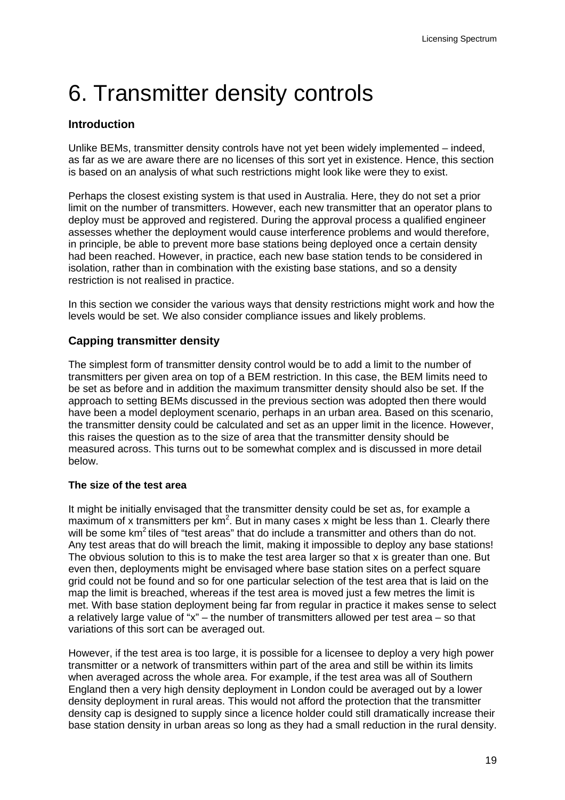# <span id="page-21-0"></span>8 6. Transmitter density controls

# **Introduction**

Unlike BEMs, transmitter density controls have not yet been widely implemented – indeed, as far as we are aware there are no licenses of this sort yet in existence. Hence, this section is based on an analysis of what such restrictions might look like were they to exist.

Perhaps the closest existing system is that used in Australia. Here, they do not set a prior limit on the number of transmitters. However, each new transmitter that an operator plans to deploy must be approved and registered. During the approval process a qualified engineer assesses whether the deployment would cause interference problems and would therefore, in principle, be able to prevent more base stations being deployed once a certain density had been reached. However, in practice, each new base station tends to be considered in isolation, rather than in combination with the existing base stations, and so a density restriction is not realised in practice.

In this section we consider the various ways that density restrictions might work and how the levels would be set. We also consider compliance issues and likely problems.

# **Capping transmitter density**

The simplest form of transmitter density control would be to add a limit to the number of transmitters per given area on top of a BEM restriction. In this case, the BEM limits need to be set as before and in addition the maximum transmitter density should also be set. If the approach to setting BEMs discussed in the previous section was adopted then there would have been a model deployment scenario, perhaps in an urban area. Based on this scenario, the transmitter density could be calculated and set as an upper limit in the licence. However, this raises the question as to the size of area that the transmitter density should be measured across. This turns out to be somewhat complex and is discussed in more detail below.

#### **The size of the test area**

It might be initially envisaged that the transmitter density could be set as, for example a maximum of x transmitters per  $km^2$ . But in many cases x might be less than 1. Clearly there will be some km<sup>2</sup> tiles of "test areas" that do include a transmitter and others than do not. Any test areas that do will breach the limit, making it impossible to deploy any base stations! The obvious solution to this is to make the test area larger so that x is greater than one. But even then, deployments might be envisaged where base station sites on a perfect square grid could not be found and so for one particular selection of the test area that is laid on the map the limit is breached, whereas if the test area is moved just a few metres the limit is met. With base station deployment being far from regular in practice it makes sense to select a relatively large value of "x" – the number of transmitters allowed per test area – so that variations of this sort can be averaged out.

However, if the test area is too large, it is possible for a licensee to deploy a very high power transmitter or a network of transmitters within part of the area and still be within its limits when averaged across the whole area. For example, if the test area was all of Southern England then a very high density deployment in London could be averaged out by a lower density deployment in rural areas. This would not afford the protection that the transmitter density cap is designed to supply since a licence holder could still dramatically increase their base station density in urban areas so long as they had a small reduction in the rural density.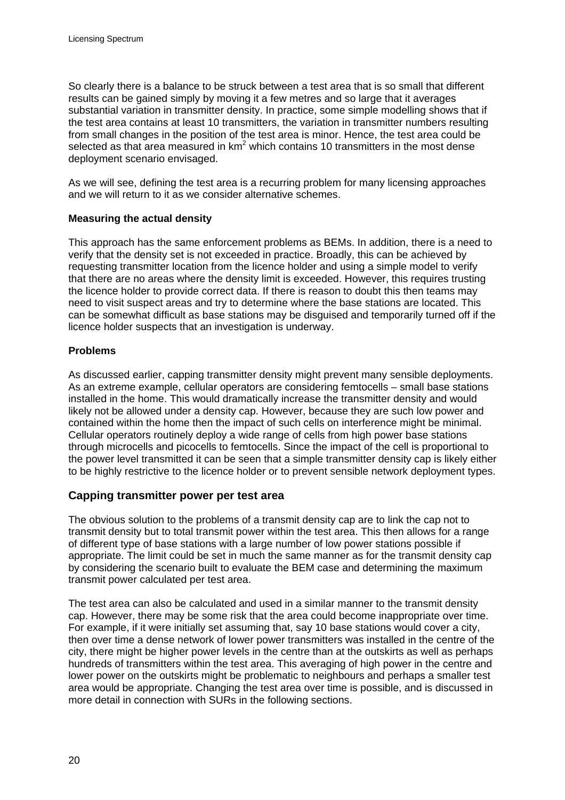So clearly there is a balance to be struck between a test area that is so small that different results can be gained simply by moving it a few metres and so large that it averages substantial variation in transmitter density. In practice, some simple modelling shows that if the test area contains at least 10 transmitters, the variation in transmitter numbers resulting from small changes in the position of the test area is minor. Hence, the test area could be selected as that area measured in  $km^2$  which contains 10 transmitters in the most dense deployment scenario envisaged.

As we will see, defining the test area is a recurring problem for many licensing approaches and we will return to it as we consider alternative schemes.

#### **Measuring the actual density**

This approach has the same enforcement problems as BEMs. In addition, there is a need to verify that the density set is not exceeded in practice. Broadly, this can be achieved by requesting transmitter location from the licence holder and using a simple model to verify that there are no areas where the density limit is exceeded. However, this requires trusting the licence holder to provide correct data. If there is reason to doubt this then teams may need to visit suspect areas and try to determine where the base stations are located. This can be somewhat difficult as base stations may be disguised and temporarily turned off if the licence holder suspects that an investigation is underway.

#### **Problems**

As discussed earlier, capping transmitter density might prevent many sensible deployments. As an extreme example, cellular operators are considering femtocells – small base stations installed in the home. This would dramatically increase the transmitter density and would likely not be allowed under a density cap. However, because they are such low power and contained within the home then the impact of such cells on interference might be minimal. Cellular operators routinely deploy a wide range of cells from high power base stations through microcells and picocells to femtocells. Since the impact of the cell is proportional to the power level transmitted it can be seen that a simple transmitter density cap is likely either to be highly restrictive to the licence holder or to prevent sensible network deployment types.

# **Capping transmitter power per test area**

The obvious solution to the problems of a transmit density cap are to link the cap not to transmit density but to total transmit power within the test area. This then allows for a range of different type of base stations with a large number of low power stations possible if appropriate. The limit could be set in much the same manner as for the transmit density cap by considering the scenario built to evaluate the BEM case and determining the maximum transmit power calculated per test area.

The test area can also be calculated and used in a similar manner to the transmit density cap. However, there may be some risk that the area could become inappropriate over time. For example, if it were initially set assuming that, say 10 base stations would cover a city, then over time a dense network of lower power transmitters was installed in the centre of the city, there might be higher power levels in the centre than at the outskirts as well as perhaps hundreds of transmitters within the test area. This averaging of high power in the centre and lower power on the outskirts might be problematic to neighbours and perhaps a smaller test area would be appropriate. Changing the test area over time is possible, and is discussed in more detail in connection with SURs in the following sections.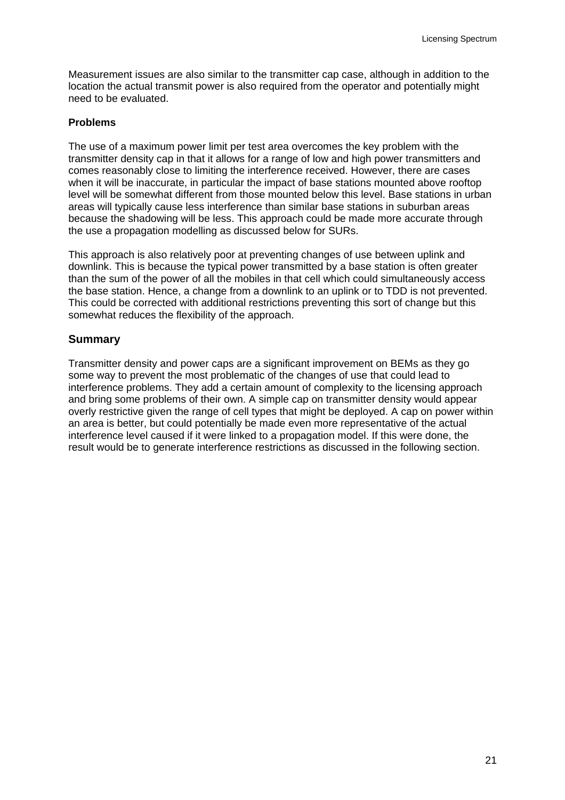Measurement issues are also similar to the transmitter cap case, although in addition to the location the actual transmit power is also required from the operator and potentially might need to be evaluated.

#### **Problems**

The use of a maximum power limit per test area overcomes the key problem with the transmitter density cap in that it allows for a range of low and high power transmitters and comes reasonably close to limiting the interference received. However, there are cases when it will be inaccurate, in particular the impact of base stations mounted above rooftop level will be somewhat different from those mounted below this level. Base stations in urban areas will typically cause less interference than similar base stations in suburban areas because the shadowing will be less. This approach could be made more accurate through the use a propagation modelling as discussed below for SURs.

This approach is also relatively poor at preventing changes of use between uplink and downlink. This is because the typical power transmitted by a base station is often greater than the sum of the power of all the mobiles in that cell which could simultaneously access the base station. Hence, a change from a downlink to an uplink or to TDD is not prevented. This could be corrected with additional restrictions preventing this sort of change but this somewhat reduces the flexibility of the approach.

#### **Summary**

Transmitter density and power caps are a significant improvement on BEMs as they go some way to prevent the most problematic of the changes of use that could lead to interference problems. They add a certain amount of complexity to the licensing approach and bring some problems of their own. A simple cap on transmitter density would appear overly restrictive given the range of cell types that might be deployed. A cap on power within an area is better, but could potentially be made even more representative of the actual interference level caused if it were linked to a propagation model. If this were done, the result would be to generate interference restrictions as discussed in the following section.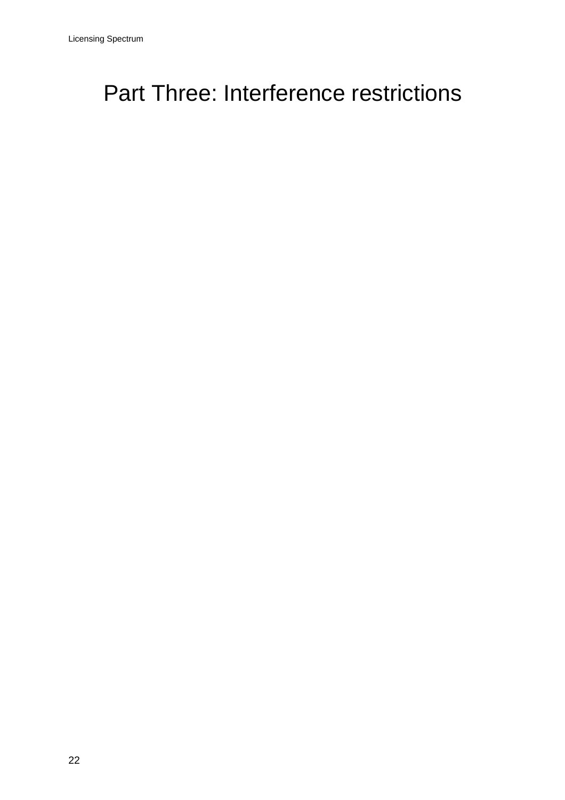# <span id="page-24-0"></span>Part Three: Interference restrictions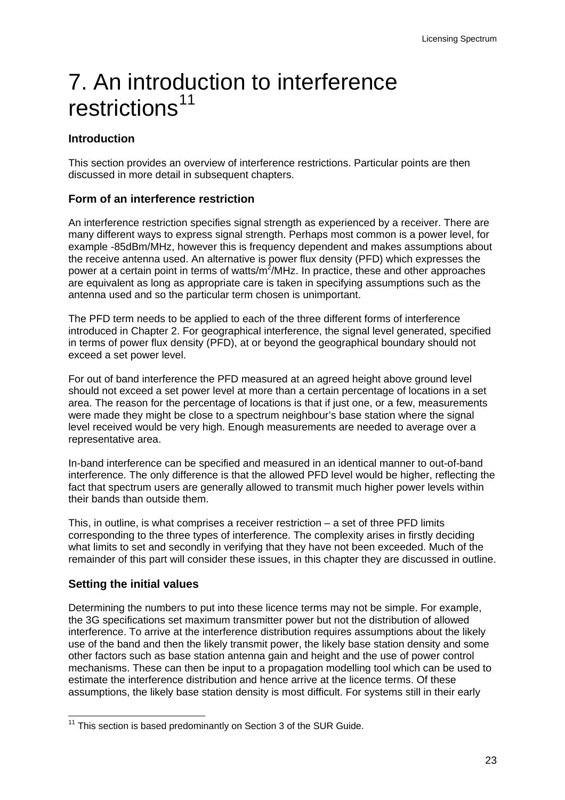# <span id="page-25-0"></span>7. An introd[uc](#page-25-1)tion to interference restrictions<sup>[11](#page-25-1)</sup>

# **Introduction**

This section provides an overview of interference restrictions. Particular points are then discussed in more detail in subsequent chapters.

### **Form of an interference restriction**

An interference restriction specifies signal strength as experienced by a receiver. There are many different ways to express signal strength. Perhaps most common is a power level, for example -85dBm/MHz, however this is frequency dependent and makes assumptions about the receive antenna used. An alternative is power flux density (PFD) which expresses the power at a certain point in terms of watts/m<sup>2</sup>/MHz. In practice, these and other approaches are equivalent as long as appropriate care is taken in specifying assumptions such as the antenna used and so the particular term chosen is unimportant.

The PFD term needs to be applied to each of the three different forms of interference introduced in Chapter 2. For geographical interference, the signal level generated, specified in terms of power flux density (PFD), at or beyond the geographical boundary should not exceed a set power level.

For out of band interference the PFD measured at an agreed height above ground level should not exceed a set power level at more than a certain percentage of locations in a set area. The reason for the percentage of locations is that if just one, or a few, measurements were made they might be close to a spectrum neighbour's base station where the signal level received would be very high. Enough measurements are needed to average over a representative area.

In-band interference can be specified and measured in an identical manner to out-of-band interference. The only difference is that the allowed PFD level would be higher, reflecting the fact that spectrum users are generally allowed to transmit much higher power levels within their bands than outside them.

This, in outline, is what comprises a receiver restriction – a set of three PFD limits corresponding to the three types of interference. The complexity arises in firstly deciding what limits to set and secondly in verifying that they have not been exceeded. Much of the remainder of this part will consider these issues, in this chapter they are discussed in outline.

# **Setting the initial values**

Determining the numbers to put into these licence terms may not be simple. For example, the 3G specifications set maximum transmitter power but not the distribution of allowed interference. To arrive at the interference distribution requires assumptions about the likely use of the band and then the likely transmit power, the likely base station density and some other factors such as base station antenna gain and height and the use of power control mechanisms. These can then be input to a propagation modelling tool which can be used to estimate the interference distribution and hence arrive at the licence terms. Of these assumptions, the likely base station density is most difficult. For systems still in their early

<span id="page-25-1"></span> $11$  This section is based predominantly on Section 3 of the SUR Guide.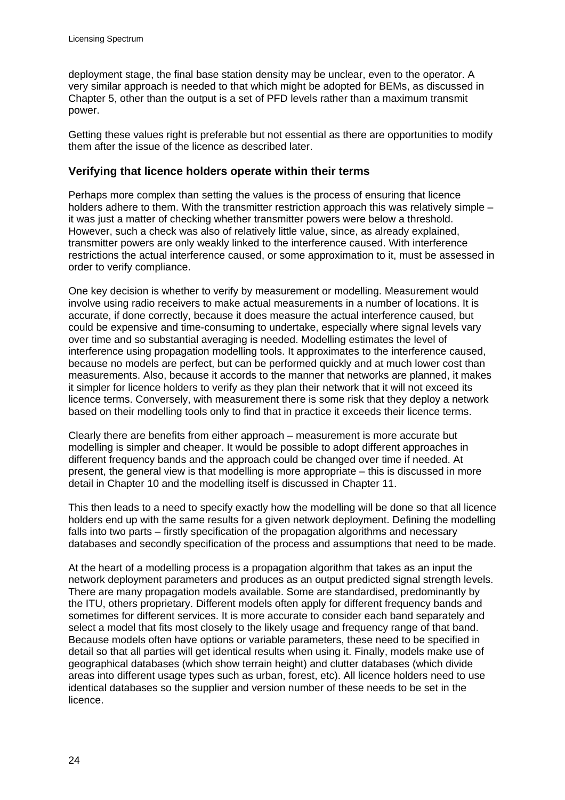deployment stage, the final base station density may be unclear, even to the operator. A very similar approach is needed to that which might be adopted for BEMs, as discussed in Chapter 5, other than the output is a set of PFD levels rather than a maximum transmit power.

Getting these values right is preferable but not essential as there are opportunities to modify them after the issue of the licence as described later.

#### **Verifying that licence holders operate within their terms**

Perhaps more complex than setting the values is the process of ensuring that licence holders adhere to them. With the transmitter restriction approach this was relatively simple – it was just a matter of checking whether transmitter powers were below a threshold. However, such a check was also of relatively little value, since, as already explained, transmitter powers are only weakly linked to the interference caused. With interference restrictions the actual interference caused, or some approximation to it, must be assessed in order to verify compliance.

One key decision is whether to verify by measurement or modelling. Measurement would involve using radio receivers to make actual measurements in a number of locations. It is accurate, if done correctly, because it does measure the actual interference caused, but could be expensive and time-consuming to undertake, especially where signal levels vary over time and so substantial averaging is needed. Modelling estimates the level of interference using propagation modelling tools. It approximates to the interference caused, because no models are perfect, but can be performed quickly and at much lower cost than measurements. Also, because it accords to the manner that networks are planned, it makes it simpler for licence holders to verify as they plan their network that it will not exceed its licence terms. Conversely, with measurement there is some risk that they deploy a network based on their modelling tools only to find that in practice it exceeds their licence terms.

Clearly there are benefits from either approach – measurement is more accurate but modelling is simpler and cheaper. It would be possible to adopt different approaches in different frequency bands and the approach could be changed over time if needed. At present, the general view is that modelling is more appropriate – this is discussed in more detail in Chapter 10 and the modelling itself is discussed in Chapter 11.

This then leads to a need to specify exactly how the modelling will be done so that all licence holders end up with the same results for a given network deployment. Defining the modelling falls into two parts – firstly specification of the propagation algorithms and necessary databases and secondly specification of the process and assumptions that need to be made.

At the heart of a modelling process is a propagation algorithm that takes as an input the network deployment parameters and produces as an output predicted signal strength levels. There are many propagation models available. Some are standardised, predominantly by the ITU, others proprietary. Different models often apply for different frequency bands and sometimes for different services. It is more accurate to consider each band separately and select a model that fits most closely to the likely usage and frequency range of that band. Because models often have options or variable parameters, these need to be specified in detail so that all parties will get identical results when using it. Finally, models make use of geographical databases (which show terrain height) and clutter databases (which divide areas into different usage types such as urban, forest, etc). All licence holders need to use identical databases so the supplier and version number of these needs to be set in the licence.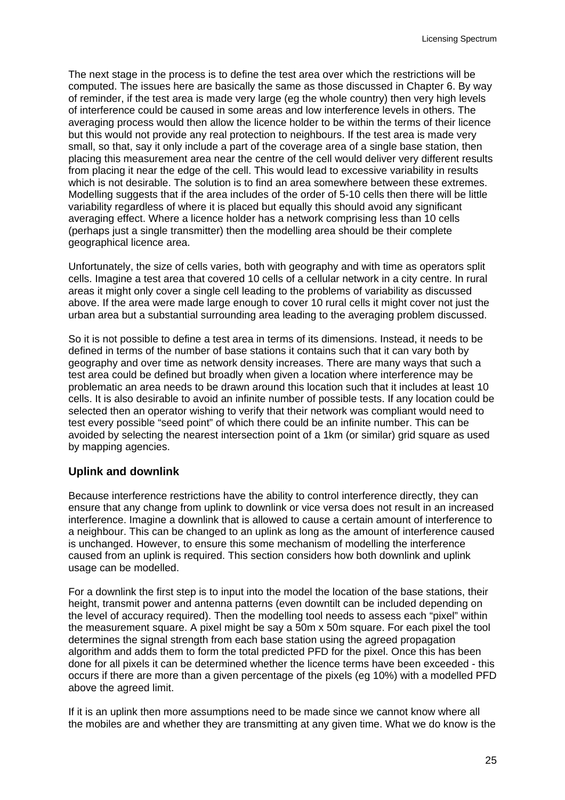The next stage in the process is to define the test area over which the restrictions will be computed. The issues here are basically the same as those discussed in Chapter 6. By way of reminder, if the test area is made very large (eg the whole country) then very high levels of interference could be caused in some areas and low interference levels in others. The averaging process would then allow the licence holder to be within the terms of their licence but this would not provide any real protection to neighbours. If the test area is made very small, so that, say it only include a part of the coverage area of a single base station, then placing this measurement area near the centre of the cell would deliver very different results from placing it near the edge of the cell. This would lead to excessive variability in results which is not desirable. The solution is to find an area somewhere between these extremes. Modelling suggests that if the area includes of the order of 5-10 cells then there will be little variability regardless of where it is placed but equally this should avoid any significant averaging effect. Where a licence holder has a network comprising less than 10 cells (perhaps just a single transmitter) then the modelling area should be their complete geographical licence area.

Unfortunately, the size of cells varies, both with geography and with time as operators split cells. Imagine a test area that covered 10 cells of a cellular network in a city centre. In rural areas it might only cover a single cell leading to the problems of variability as discussed above. If the area were made large enough to cover 10 rural cells it might cover not just the urban area but a substantial surrounding area leading to the averaging problem discussed.

So it is not possible to define a test area in terms of its dimensions. Instead, it needs to be defined in terms of the number of base stations it contains such that it can vary both by geography and over time as network density increases. There are many ways that such a test area could be defined but broadly when given a location where interference may be problematic an area needs to be drawn around this location such that it includes at least 10 cells. It is also desirable to avoid an infinite number of possible tests. If any location could be selected then an operator wishing to verify that their network was compliant would need to test every possible "seed point" of which there could be an infinite number. This can be avoided by selecting the nearest intersection point of a 1km (or similar) grid square as used by mapping agencies.

#### **Uplink and downlink**

Because interference restrictions have the ability to control interference directly, they can ensure that any change from uplink to downlink or vice versa does not result in an increased interference. Imagine a downlink that is allowed to cause a certain amount of interference to a neighbour. This can be changed to an uplink as long as the amount of interference caused is unchanged. However, to ensure this some mechanism of modelling the interference caused from an uplink is required. This section considers how both downlink and uplink usage can be modelled.

For a downlink the first step is to input into the model the location of the base stations, their height, transmit power and antenna patterns (even downtilt can be included depending on the level of accuracy required). Then the modelling tool needs to assess each "pixel" within the measurement square. A pixel might be say a 50m x 50m square. For each pixel the tool determines the signal strength from each base station using the agreed propagation algorithm and adds them to form the total predicted PFD for the pixel. Once this has been done for all pixels it can be determined whether the licence terms have been exceeded - this occurs if there are more than a given percentage of the pixels (eg 10%) with a modelled PFD above the agreed limit.

If it is an uplink then more assumptions need to be made since we cannot know where all the mobiles are and whether they are transmitting at any given time. What we do know is the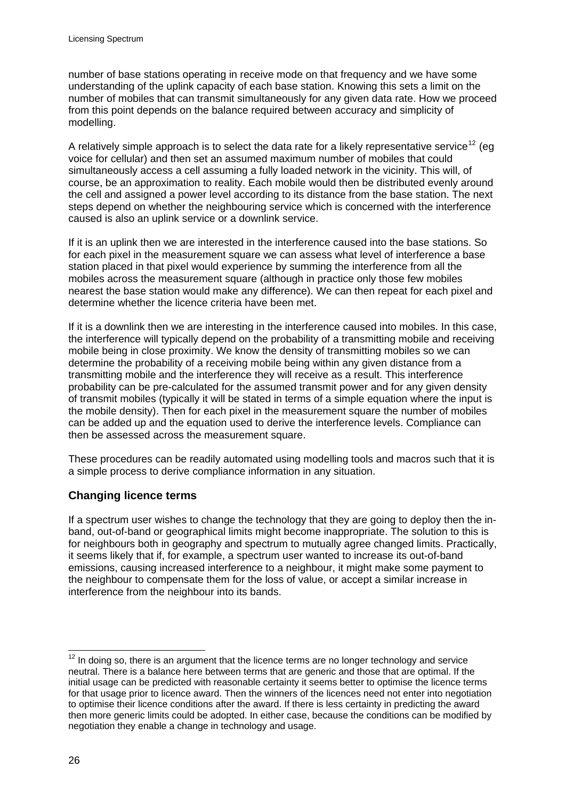number of base stations operating in receive mode on that frequency and we have some understanding of the uplink capacity of each base station. Knowing this sets a limit on the number of mobiles that can transmit simultaneously for any given data rate. How we proceed from this point depends on the balance required between accuracy and simplicity of modelling.

A relatively simple approach is to select the data rate for a likely representative service<sup>[12](#page-28-0)</sup> (eq. voice for cellular) and then set an assumed maximum number of mobiles that could simultaneously access a cell assuming a fully loaded network in the vicinity. This will, of course, be an approximation to reality. Each mobile would then be distributed evenly around the cell and assigned a power level according to its distance from the base station. The next steps depend on whether the neighbouring service which is concerned with the interference caused is also an uplink service or a downlink service.

If it is an uplink then we are interested in the interference caused into the base stations. So for each pixel in the measurement square we can assess what level of interference a base station placed in that pixel would experience by summing the interference from all the mobiles across the measurement square (although in practice only those few mobiles nearest the base station would make any difference). We can then repeat for each pixel and determine whether the licence criteria have been met.

If it is a downlink then we are interesting in the interference caused into mobiles. In this case, the interference will typically depend on the probability of a transmitting mobile and receiving mobile being in close proximity. We know the density of transmitting mobiles so we can determine the probability of a receiving mobile being within any given distance from a transmitting mobile and the interference they will receive as a result. This interference probability can be pre-calculated for the assumed transmit power and for any given density of transmit mobiles (typically it will be stated in terms of a simple equation where the input is the mobile density). Then for each pixel in the measurement square the number of mobiles can be added up and the equation used to derive the interference levels. Compliance can then be assessed across the measurement square.

These procedures can be readily automated using modelling tools and macros such that it is a simple process to derive compliance information in any situation.

# **Changing licence terms**

If a spectrum user wishes to change the technology that they are going to deploy then the inband, out-of-band or geographical limits might become inappropriate. The solution to this is for neighbours both in geography and spectrum to mutually agree changed limits. Practically, it seems likely that if, for example, a spectrum user wanted to increase its out-of-band emissions, causing increased interference to a neighbour, it might make some payment to the neighbour to compensate them for the loss of value, or accept a similar increase in interference from the neighbour into its bands.

<span id="page-28-0"></span> $12$  In doing so, there is an argument that the licence terms are no longer technology and service neutral. There is a balance here between terms that are generic and those that are optimal. If the initial usage can be predicted with reasonable certainty it seems better to optimise the licence terms for that usage prior to licence award. Then the winners of the licences need not enter into negotiation to optimise their licence conditions after the award. If there is less certainty in predicting the award then more generic limits could be adopted. In either case, because the conditions can be modified by negotiation they enable a change in technology and usage.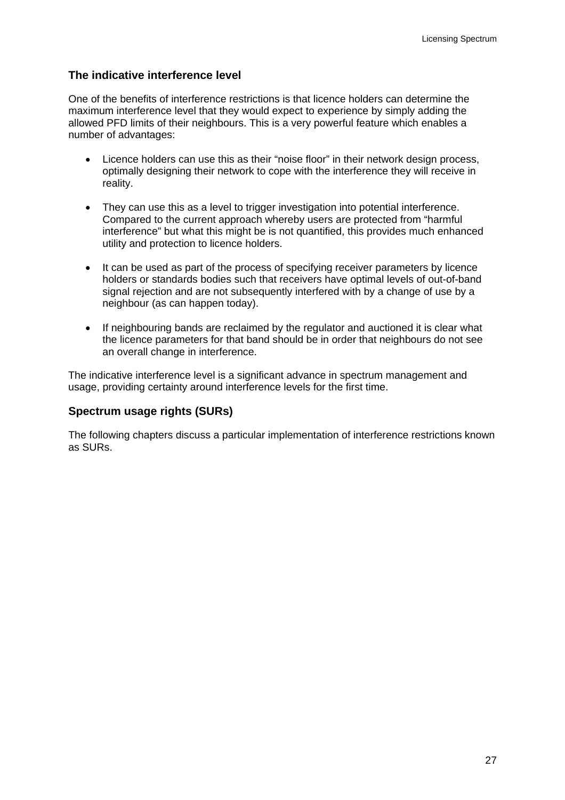### **The indicative interference level**

One of the benefits of interference restrictions is that licence holders can determine the maximum interference level that they would expect to experience by simply adding the allowed PFD limits of their neighbours. This is a very powerful feature which enables a number of advantages:

- Licence holders can use this as their "noise floor" in their network design process, optimally designing their network to cope with the interference they will receive in reality.
- They can use this as a level to trigger investigation into potential interference. Compared to the current approach whereby users are protected from "harmful interference" but what this might be is not quantified, this provides much enhanced utility and protection to licence holders.
- It can be used as part of the process of specifying receiver parameters by licence holders or standards bodies such that receivers have optimal levels of out-of-band signal rejection and are not subsequently interfered with by a change of use by a neighbour (as can happen today).
- If neighbouring bands are reclaimed by the regulator and auctioned it is clear what the licence parameters for that band should be in order that neighbours do not see an overall change in interference.

The indicative interference level is a significant advance in spectrum management and usage, providing certainty around interference levels for the first time.

# **Spectrum usage rights (SURs)**

The following chapters discuss a particular implementation of interference restrictions known as SURs.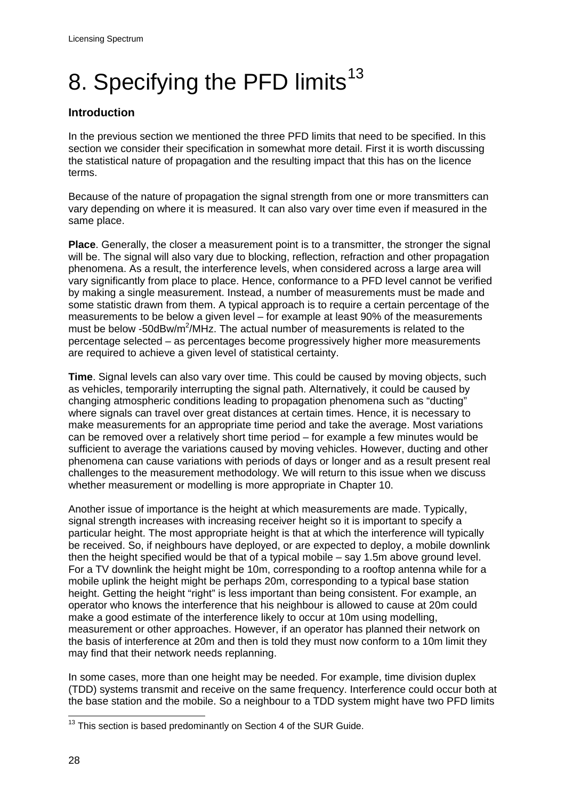# <span id="page-30-0"></span>8. Specifying the PFD limits<sup>[13](#page-30-1)</sup>

# **Introduction**

In the previous section we mentioned the three PFD limits that need to be specified. In this section we consider their specification in somewhat more detail. First it is worth discussing the statistical nature of propagation and the resulting impact that this has on the licence terms.

Because of the nature of propagation the signal strength from one or more transmitters can vary depending on where it is measured. It can also vary over time even if measured in the same place.

**Place**. Generally, the closer a measurement point is to a transmitter, the stronger the signal will be. The signal will also vary due to blocking, reflection, refraction and other propagation phenomena. As a result, the interference levels, when considered across a large area will vary significantly from place to place. Hence, conformance to a PFD level cannot be verified by making a single measurement. Instead, a number of measurements must be made and some statistic drawn from them. A typical approach is to require a certain percentage of the measurements to be below a given level – for example at least 90% of the measurements must be below -50dBw/m<sup>2</sup>/MHz. The actual number of measurements is related to the percentage selected – as percentages become progressively higher more measurements are required to achieve a given level of statistical certainty.

**Time**. Signal levels can also vary over time. This could be caused by moving objects, such as vehicles, temporarily interrupting the signal path. Alternatively, it could be caused by changing atmospheric conditions leading to propagation phenomena such as "ducting" where signals can travel over great distances at certain times. Hence, it is necessary to make measurements for an appropriate time period and take the average. Most variations can be removed over a relatively short time period – for example a few minutes would be sufficient to average the variations caused by moving vehicles. However, ducting and other phenomena can cause variations with periods of days or longer and as a result present real challenges to the measurement methodology. We will return to this issue when we discuss whether measurement or modelling is more appropriate in Chapter 10.

Another issue of importance is the height at which measurements are made. Typically, signal strength increases with increasing receiver height so it is important to specify a particular height. The most appropriate height is that at which the interference will typically be received. So, if neighbours have deployed, or are expected to deploy, a mobile downlink then the height specified would be that of a typical mobile – say 1.5m above ground level. For a TV downlink the height might be 10m, corresponding to a rooftop antenna while for a mobile uplink the height might be perhaps 20m, corresponding to a typical base station height. Getting the height "right" is less important than being consistent. For example, an operator who knows the interference that his neighbour is allowed to cause at 20m could make a good estimate of the interference likely to occur at 10m using modelling, measurement or other approaches. However, if an operator has planned their network on the basis of interference at 20m and then is told they must now conform to a 10m limit they may find that their network needs replanning.

In some cases, more than one height may be needed. For example, time division duplex (TDD) systems transmit and receive on the same frequency. Interference could occur both at the base station and the mobile. So a neighbour to a TDD system might have two PFD limits

<span id="page-30-1"></span> $13$  This section is based predominantly on Section 4 of the SUR Guide.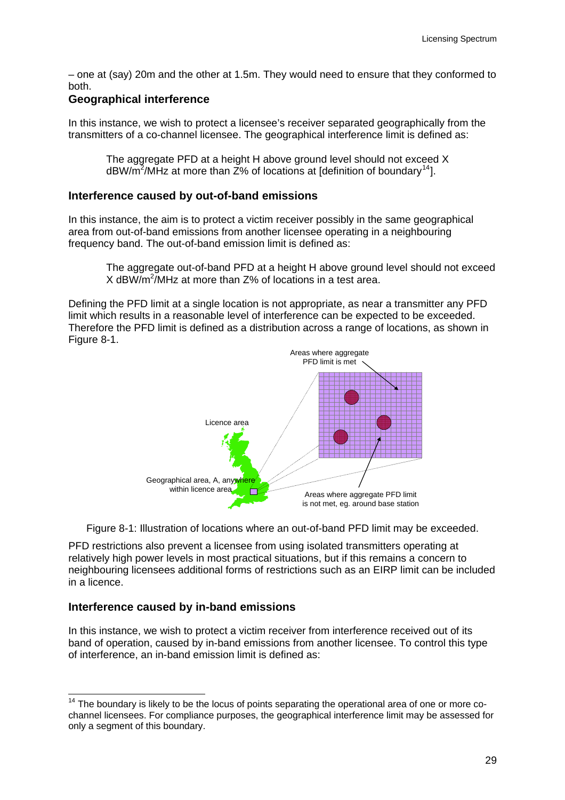– one at (say) 20m and the other at 1.5m. They would need to ensure that they conformed to both.

#### **Geographical interference**

In this instance, we wish to protect a licensee's receiver separated geographically from the transmitters of a co-channel licensee. The geographical interference limit is defined as:

The aggregate PFD at a height H above ground level should not exceed X dBW/m<sup>2</sup>/MHz at more than  $\bar{Z}$ % of locations at [definition of boundary<sup>[14](#page-31-0)</sup>].

#### **Interference caused by out-of-band emissions**

In this instance, the aim is to protect a victim receiver possibly in the same geographical area from out-of-band emissions from another licensee operating in a neighbouring frequency band. The out-of-band emission limit is defined as:

The aggregate out-of-band PFD at a height H above ground level should not exceed X dBW/m<sup>2</sup>/MHz at more than Z% of locations in a test area.

Defining the PFD limit at a single location is not appropriate, as near a transmitter any PFD limit which results in a reasonable level of interference can be expected to be exceeded. Therefore the PFD limit is defined as a distribution across a range of locations, as shown in Figure 8-1.



Figure 8-1: Illustration of locations where an out-of-band PFD limit may be exceeded.

PFD restrictions also prevent a licensee from using isolated transmitters operating at relatively high power levels in most practical situations, but if this remains a concern to neighbouring licensees additional forms of restrictions such as an EIRP limit can be included in a licence.

#### **Interference caused by in-band emissions**

In this instance, we wish to protect a victim receiver from interference received out of its band of operation, caused by in-band emissions from another licensee. To control this type of interference, an in-band emission limit is defined as:

<span id="page-31-0"></span>  $14$  The boundary is likely to be the locus of points separating the operational area of one or more cochannel licensees. For compliance purposes, the geographical interference limit may be assessed for only a segment of this boundary.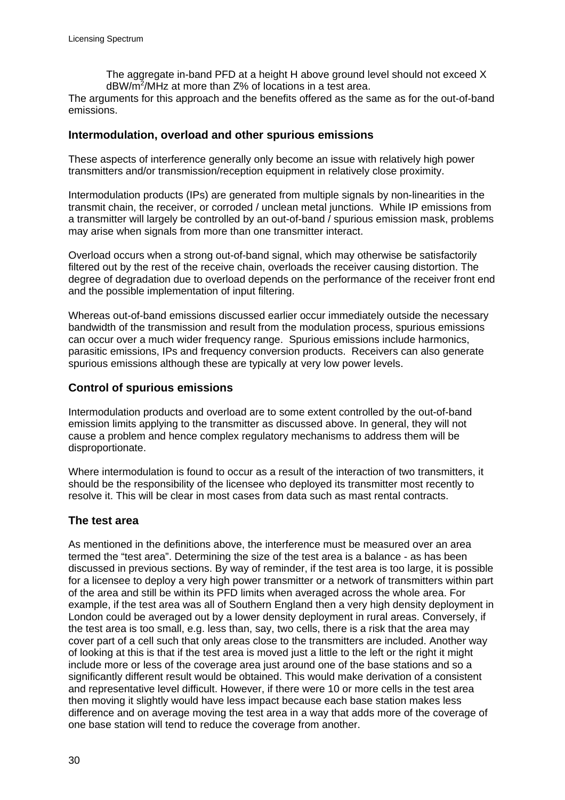The aggregate in-band PFD at a height H above ground level should not exceed X  $dBW/m^2/M$ Hz at more than Z% of locations in a test area.

The arguments for this approach and the benefits offered as the same as for the out-of-band emissions.

#### **Intermodulation, overload and other spurious emissions**

These aspects of interference generally only become an issue with relatively high power transmitters and/or transmission/reception equipment in relatively close proximity.

Intermodulation products (IPs) are generated from multiple signals by non-linearities in the transmit chain, the receiver, or corroded / unclean metal junctions. While IP emissions from a transmitter will largely be controlled by an out-of-band / spurious emission mask, problems may arise when signals from more than one transmitter interact.

Overload occurs when a strong out-of-band signal, which may otherwise be satisfactorily filtered out by the rest of the receive chain, overloads the receiver causing distortion. The degree of degradation due to overload depends on the performance of the receiver front end and the possible implementation of input filtering.

Whereas out-of-band emissions discussed earlier occur immediately outside the necessary bandwidth of the transmission and result from the modulation process, spurious emissions can occur over a much wider frequency range. Spurious emissions include harmonics, parasitic emissions, IPs and frequency conversion products. Receivers can also generate spurious emissions although these are typically at very low power levels.

#### **Control of spurious emissions**

Intermodulation products and overload are to some extent controlled by the out-of-band emission limits applying to the transmitter as discussed above. In general, they will not cause a problem and hence complex regulatory mechanisms to address them will be disproportionate.

Where intermodulation is found to occur as a result of the interaction of two transmitters, it should be the responsibility of the licensee who deployed its transmitter most recently to resolve it. This will be clear in most cases from data such as mast rental contracts.

#### **The test area**

As mentioned in the definitions above, the interference must be measured over an area termed the "test area". Determining the size of the test area is a balance - as has been discussed in previous sections. By way of reminder, if the test area is too large, it is possible for a licensee to deploy a very high power transmitter or a network of transmitters within part of the area and still be within its PFD limits when averaged across the whole area. For example, if the test area was all of Southern England then a very high density deployment in London could be averaged out by a lower density deployment in rural areas. Conversely, if the test area is too small, e.g. less than, say, two cells, there is a risk that the area may cover part of a cell such that only areas close to the transmitters are included. Another way of looking at this is that if the test area is moved just a little to the left or the right it might include more or less of the coverage area just around one of the base stations and so a significantly different result would be obtained. This would make derivation of a consistent and representative level difficult. However, if there were 10 or more cells in the test area then moving it slightly would have less impact because each base station makes less difference and on average moving the test area in a way that adds more of the coverage of one base station will tend to reduce the coverage from another.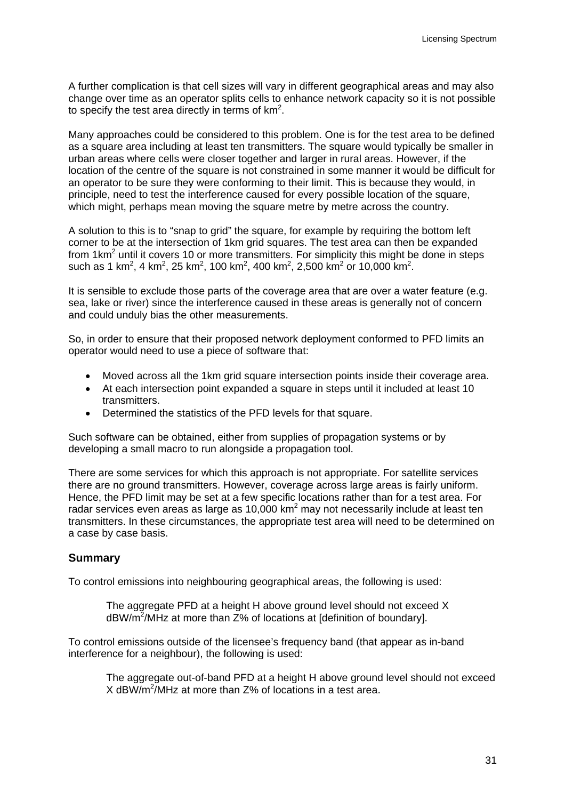A further complication is that cell sizes will vary in different geographical areas and may also change over time as an operator splits cells to enhance network capacity so it is not possible to specify the test area directly in terms of  $km^2$ .

Many approaches could be considered to this problem. One is for the test area to be defined as a square area including at least ten transmitters. The square would typically be smaller in urban areas where cells were closer together and larger in rural areas. However, if the location of the centre of the square is not constrained in some manner it would be difficult for an operator to be sure they were conforming to their limit. This is because they would, in principle, need to test the interference caused for every possible location of the square, which might, perhaps mean moving the square metre by metre across the country.

A solution to this is to "snap to grid" the square, for example by requiring the bottom left corner to be at the intersection of 1km grid squares. The test area can then be expanded from 1 $km^2$  until it covers 10 or more transmitters. For simplicity this might be done in steps such as 1 km<sup>2</sup>, 4 km<sup>2</sup>, 25 km<sup>2</sup>, 100 km<sup>2</sup>, 400 km<sup>2</sup>, 2,500 km<sup>2</sup> or 10,000 km<sup>2</sup>.

It is sensible to exclude those parts of the coverage area that are over a water feature (e.g. sea, lake or river) since the interference caused in these areas is generally not of concern and could unduly bias the other measurements.

So, in order to ensure that their proposed network deployment conformed to PFD limits an operator would need to use a piece of software that:

- Moved across all the 1km grid square intersection points inside their coverage area.
- At each intersection point expanded a square in steps until it included at least 10 transmitters.
- Determined the statistics of the PFD levels for that square.

Such software can be obtained, either from supplies of propagation systems or by developing a small macro to run alongside a propagation tool.

There are some services for which this approach is not appropriate. For satellite services there are no ground transmitters. However, coverage across large areas is fairly uniform. Hence, the PFD limit may be set at a few specific locations rather than for a test area. For radar services even areas as large as 10,000 km<sup>2</sup> may not necessarily include at least ten transmitters. In these circumstances, the appropriate test area will need to be determined on a case by case basis.

# **Summary**

To control emissions into neighbouring geographical areas, the following is used:

The aggregate PFD at a height H above ground level should not exceed X  $dBW/m^2/M$ Hz at more than  $Z\%$  of locations at [definition of boundary].

To control emissions outside of the licensee's frequency band (that appear as in-band interference for a neighbour), the following is used:

The aggregate out-of-band PFD at a height H above ground level should not exceed X dBW/m2 /MHz at more than Z% of locations in a test area.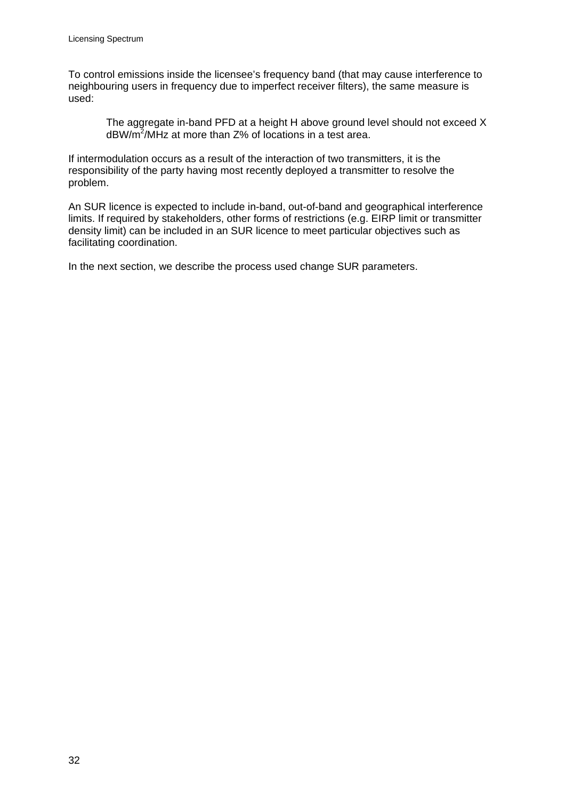To control emissions inside the licensee's frequency band (that may cause interference to neighbouring users in frequency due to imperfect receiver filters), the same measure is used:

The aggregate in-band PFD at a height H above ground level should not exceed X  $dBW/m^2/M$ Hz at more than Z% of locations in a test area.

If intermodulation occurs as a result of the interaction of two transmitters, it is the responsibility of the party having most recently deployed a transmitter to resolve the problem.

An SUR licence is expected to include in-band, out-of-band and geographical interference limits. If required by stakeholders, other forms of restrictions (e.g. EIRP limit or transmitter density limit) can be included in an SUR licence to meet particular objectives such as facilitating coordination.

In the next section, we describe the process used change SUR parameters.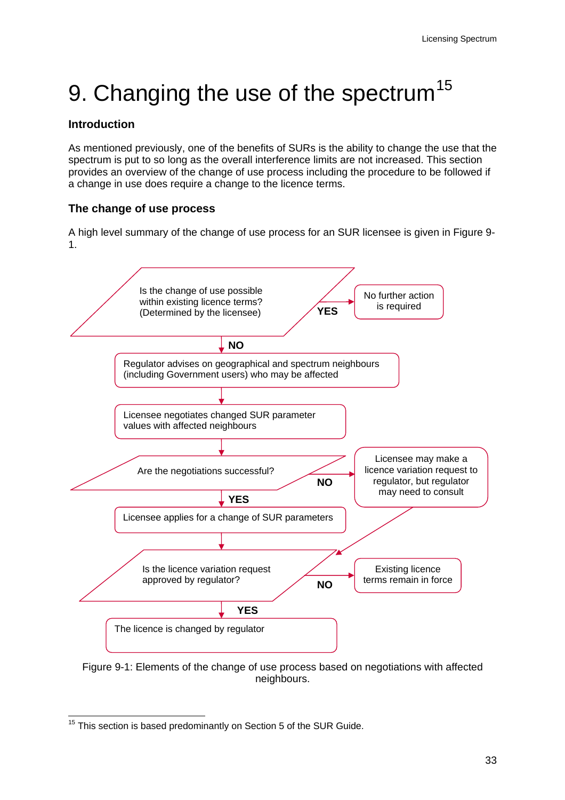# <span id="page-35-0"></span>9. Changing the use of the spectrum<sup>[15](#page-35-1)</sup>

# **Introduction**

As mentioned previously, one of the benefits of SURs is the ability to change the use that the spectrum is put to so long as the overall interference limits are not increased. This section provides an overview of the change of use process including the procedure to be followed if a change in use does require a change to the licence terms.

# **The change of use process**

A high level summary of the change of use process for an SUR licensee is given in Figure 9- 1.



Figure 9-1: Elements of the change of use process based on negotiations with affected neighbours.

<span id="page-35-1"></span> $15$  This section is based predominantly on Section 5 of the SUR Guide.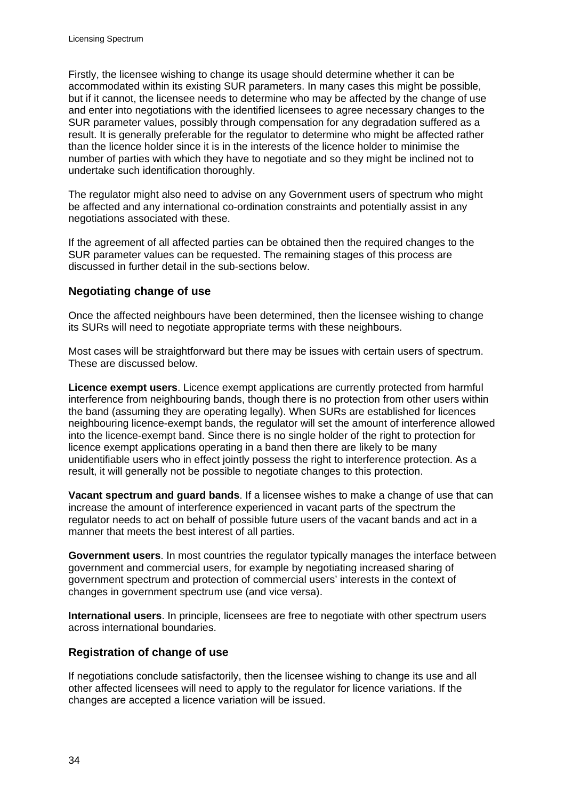Firstly, the licensee wishing to change its usage should determine whether it can be accommodated within its existing SUR parameters. In many cases this might be possible, but if it cannot, the licensee needs to determine who may be affected by the change of use and enter into negotiations with the identified licensees to agree necessary changes to the SUR parameter values, possibly through compensation for any degradation suffered as a result. It is generally preferable for the regulator to determine who might be affected rather than the licence holder since it is in the interests of the licence holder to minimise the number of parties with which they have to negotiate and so they might be inclined not to undertake such identification thoroughly.

The regulator might also need to advise on any Government users of spectrum who might be affected and any international co-ordination constraints and potentially assist in any negotiations associated with these.

If the agreement of all affected parties can be obtained then the required changes to the SUR parameter values can be requested. The remaining stages of this process are discussed in further detail in the sub-sections below.

# **Negotiating change of use**

Once the affected neighbours have been determined, then the licensee wishing to change its SURs will need to negotiate appropriate terms with these neighbours.

Most cases will be straightforward but there may be issues with certain users of spectrum. These are discussed below.

**Licence exempt users**. Licence exempt applications are currently protected from harmful interference from neighbouring bands, though there is no protection from other users within the band (assuming they are operating legally). When SURs are established for licences neighbouring licence-exempt bands, the regulator will set the amount of interference allowed into the licence-exempt band. Since there is no single holder of the right to protection for licence exempt applications operating in a band then there are likely to be many unidentifiable users who in effect jointly possess the right to interference protection. As a result, it will generally not be possible to negotiate changes to this protection.

**Vacant spectrum and guard bands**. If a licensee wishes to make a change of use that can increase the amount of interference experienced in vacant parts of the spectrum the regulator needs to act on behalf of possible future users of the vacant bands and act in a manner that meets the best interest of all parties.

**Government users**. In most countries the regulator typically manages the interface between government and commercial users, for example by negotiating increased sharing of government spectrum and protection of commercial users' interests in the context of changes in government spectrum use (and vice versa).

**International users**. In principle, licensees are free to negotiate with other spectrum users across international boundaries.

# **Registration of change of use**

If negotiations conclude satisfactorily, then the licensee wishing to change its use and all other affected licensees will need to apply to the regulator for licence variations. If the changes are accepted a licence variation will be issued.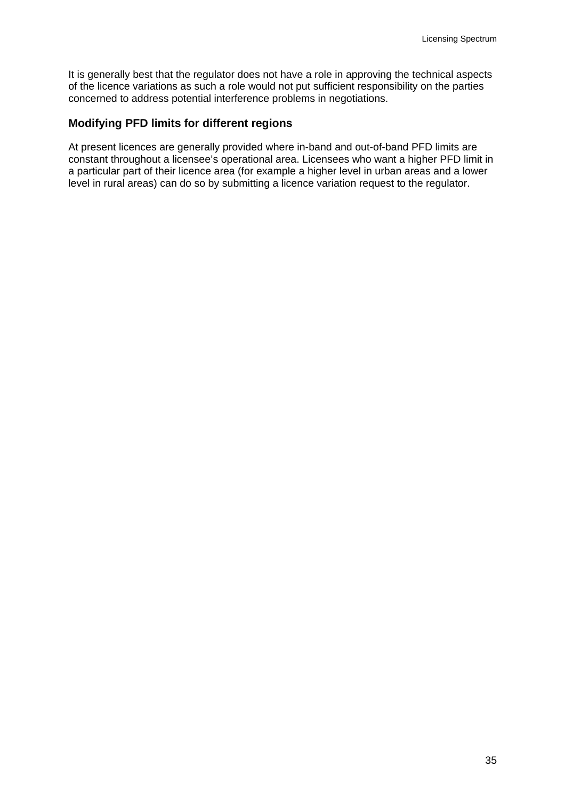It is generally best that the regulator does not have a role in approving the technical aspects of the licence variations as such a role would not put sufficient responsibility on the parties concerned to address potential interference problems in negotiations.

#### **Modifying PFD limits for different regions**

At present licences are generally provided where in-band and out-of-band PFD limits are constant throughout a licensee's operational area. Licensees who want a higher PFD limit in a particular part of their licence area (for example a higher level in urban areas and a lower level in rural areas) can do so by submitting a licence variation request to the regulator.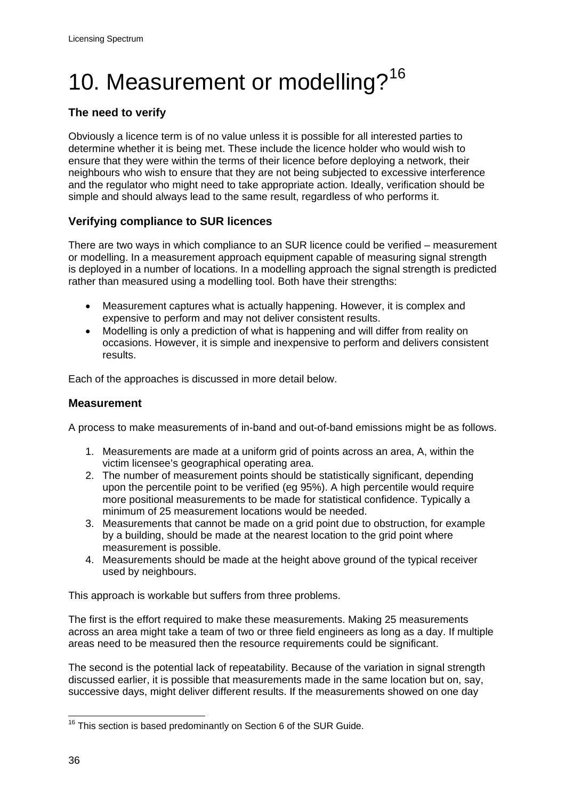# <span id="page-38-0"></span>10. Measurement or modelling?<sup>[16](#page-38-1)</sup>

# **The need to verify**

Obviously a licence term is of no value unless it is possible for all interested parties to determine whether it is being met. These include the licence holder who would wish to ensure that they were within the terms of their licence before deploying a network, their neighbours who wish to ensure that they are not being subjected to excessive interference and the regulator who might need to take appropriate action. Ideally, verification should be simple and should always lead to the same result, regardless of who performs it.

# **Verifying compliance to SUR licences**

There are two ways in which compliance to an SUR licence could be verified – measurement or modelling. In a measurement approach equipment capable of measuring signal strength is deployed in a number of locations. In a modelling approach the signal strength is predicted rather than measured using a modelling tool. Both have their strengths:

- Measurement captures what is actually happening. However, it is complex and expensive to perform and may not deliver consistent results.
- Modelling is only a prediction of what is happening and will differ from reality on occasions. However, it is simple and inexpensive to perform and delivers consistent results.

Each of the approaches is discussed in more detail below.

# **Measurement**

A process to make measurements of in-band and out-of-band emissions might be as follows.

- 1. Measurements are made at a uniform grid of points across an area, A, within the victim licensee's geographical operating area.
- 2. The number of measurement points should be statistically significant, depending upon the percentile point to be verified (eg 95%). A high percentile would require more positional measurements to be made for statistical confidence. Typically a minimum of 25 measurement locations would be needed.
- 3. Measurements that cannot be made on a grid point due to obstruction, for example by a building, should be made at the nearest location to the grid point where measurement is possible.
- 4. Measurements should be made at the height above ground of the typical receiver used by neighbours.

This approach is workable but suffers from three problems.

The first is the effort required to make these measurements. Making 25 measurements across an area might take a team of two or three field engineers as long as a day. If multiple areas need to be measured then the resource requirements could be significant.

The second is the potential lack of repeatability. Because of the variation in signal strength discussed earlier, it is possible that measurements made in the same location but on, say, successive days, might deliver different results. If the measurements showed on one day

<span id="page-38-1"></span> $16$  This section is based predominantly on Section 6 of the SUR Guide.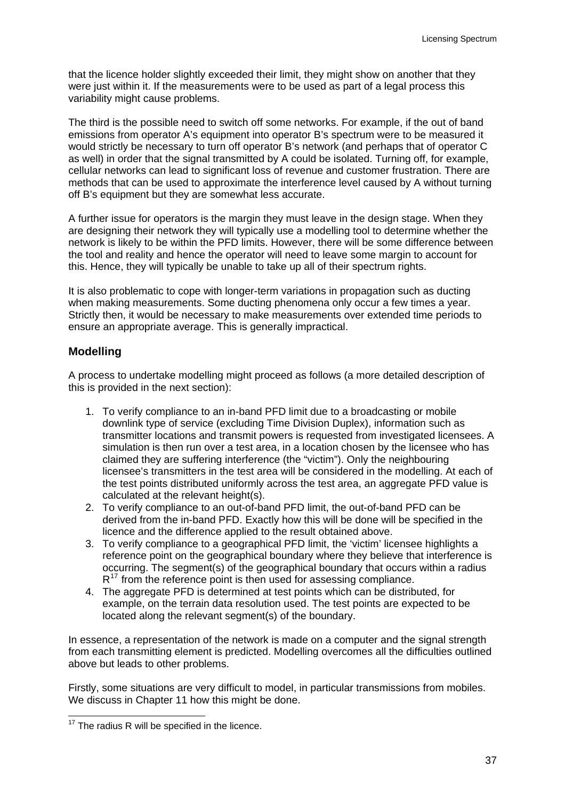that the licence holder slightly exceeded their limit, they might show on another that they were just within it. If the measurements were to be used as part of a legal process this variability might cause problems.

The third is the possible need to switch off some networks. For example, if the out of band emissions from operator A's equipment into operator B's spectrum were to be measured it would strictly be necessary to turn off operator B's network (and perhaps that of operator C as well) in order that the signal transmitted by A could be isolated. Turning off, for example, cellular networks can lead to significant loss of revenue and customer frustration. There are methods that can be used to approximate the interference level caused by A without turning off B's equipment but they are somewhat less accurate.

A further issue for operators is the margin they must leave in the design stage. When they are designing their network they will typically use a modelling tool to determine whether the network is likely to be within the PFD limits. However, there will be some difference between the tool and reality and hence the operator will need to leave some margin to account for this. Hence, they will typically be unable to take up all of their spectrum rights.

It is also problematic to cope with longer-term variations in propagation such as ducting when making measurements. Some ducting phenomena only occur a few times a year. Strictly then, it would be necessary to make measurements over extended time periods to ensure an appropriate average. This is generally impractical.

#### **Modelling**

A process to undertake modelling might proceed as follows (a more detailed description of this is provided in the next section):

- 1. To verify compliance to an in-band PFD limit due to a broadcasting or mobile downlink type of service (excluding Time Division Duplex), information such as transmitter locations and transmit powers is requested from investigated licensees. A simulation is then run over a test area, in a location chosen by the licensee who has claimed they are suffering interference (the "victim"). Only the neighbouring licensee's transmitters in the test area will be considered in the modelling. At each of the test points distributed uniformly across the test area, an aggregate PFD value is calculated at the relevant height(s).
- 2. To verify compliance to an out-of-band PFD limit, the out-of-band PFD can be derived from the in-band PFD. Exactly how this will be done will be specified in the licence and the difference applied to the result obtained above.
- 3. To verify compliance to a geographical PFD limit, the 'victim' licensee highlights a reference point on the geographical boundary where they believe that interference is occurring. The segment(s) of the geographical boundary that occurs within a radius  $R^{17}$  $R^{17}$  $R^{17}$  from the reference point is then used for assessing compliance.
- 4. The aggregate PFD is determined at test points which can be distributed, for example, on the terrain data resolution used. The test points are expected to be located along the relevant segment(s) of the boundary.

In essence, a representation of the network is made on a computer and the signal strength from each transmitting element is predicted. Modelling overcomes all the difficulties outlined above but leads to other problems.

Firstly, some situations are very difficult to model, in particular transmissions from mobiles. We discuss in Chapter 11 how this might be done.

<span id="page-39-0"></span> $17$  The radius R will be specified in the licence.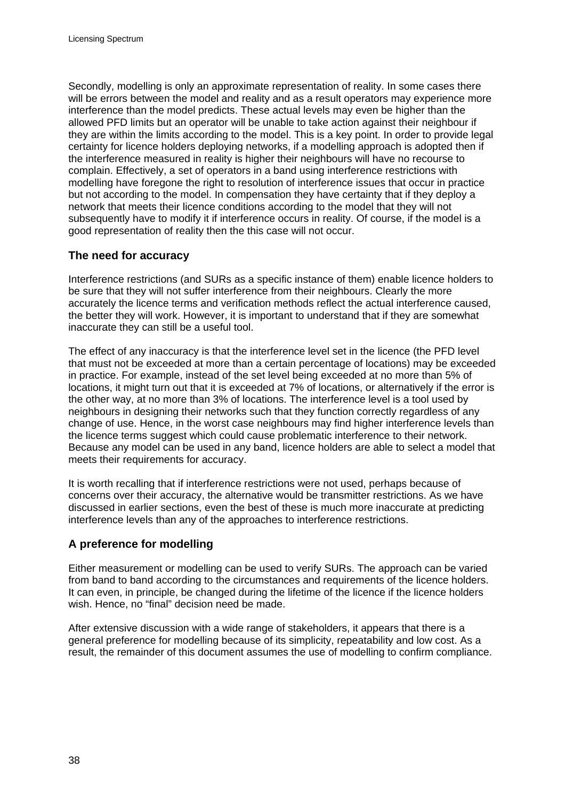Secondly, modelling is only an approximate representation of reality. In some cases there will be errors between the model and reality and as a result operators may experience more interference than the model predicts. These actual levels may even be higher than the allowed PFD limits but an operator will be unable to take action against their neighbour if they are within the limits according to the model. This is a key point. In order to provide legal certainty for licence holders deploying networks, if a modelling approach is adopted then if the interference measured in reality is higher their neighbours will have no recourse to complain. Effectively, a set of operators in a band using interference restrictions with modelling have foregone the right to resolution of interference issues that occur in practice but not according to the model. In compensation they have certainty that if they deploy a network that meets their licence conditions according to the model that they will not subsequently have to modify it if interference occurs in reality. Of course, if the model is a good representation of reality then the this case will not occur.

#### **The need for accuracy**

Interference restrictions (and SURs as a specific instance of them) enable licence holders to be sure that they will not suffer interference from their neighbours. Clearly the more accurately the licence terms and verification methods reflect the actual interference caused, the better they will work. However, it is important to understand that if they are somewhat inaccurate they can still be a useful tool.

The effect of any inaccuracy is that the interference level set in the licence (the PFD level that must not be exceeded at more than a certain percentage of locations) may be exceeded in practice. For example, instead of the set level being exceeded at no more than 5% of locations, it might turn out that it is exceeded at 7% of locations, or alternatively if the error is the other way, at no more than 3% of locations. The interference level is a tool used by neighbours in designing their networks such that they function correctly regardless of any change of use. Hence, in the worst case neighbours may find higher interference levels than the licence terms suggest which could cause problematic interference to their network. Because any model can be used in any band, licence holders are able to select a model that meets their requirements for accuracy.

It is worth recalling that if interference restrictions were not used, perhaps because of concerns over their accuracy, the alternative would be transmitter restrictions. As we have discussed in earlier sections, even the best of these is much more inaccurate at predicting interference levels than any of the approaches to interference restrictions.

# **A preference for modelling**

Either measurement or modelling can be used to verify SURs. The approach can be varied from band to band according to the circumstances and requirements of the licence holders. It can even, in principle, be changed during the lifetime of the licence if the licence holders wish. Hence, no "final" decision need be made.

After extensive discussion with a wide range of stakeholders, it appears that there is a general preference for modelling because of its simplicity, repeatability and low cost. As a result, the remainder of this document assumes the use of modelling to confirm compliance.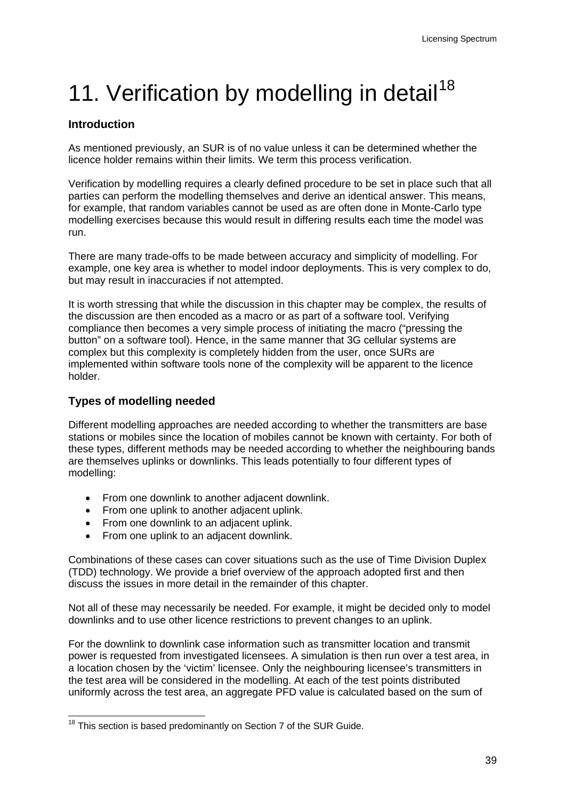# <span id="page-41-0"></span>11. Verification by modelling in detail<sup>[18](#page-41-1)</sup>

# **Introduction**

As mentioned previously, an SUR is of no value unless it can be determined whether the licence holder remains within their limits. We term this process verification.

Verification by modelling requires a clearly defined procedure to be set in place such that all parties can perform the modelling themselves and derive an identical answer. This means, for example, that random variables cannot be used as are often done in Monte-Carlo type modelling exercises because this would result in differing results each time the model was run.

There are many trade-offs to be made between accuracy and simplicity of modelling. For example, one key area is whether to model indoor deployments. This is very complex to do, but may result in inaccuracies if not attempted.

It is worth stressing that while the discussion in this chapter may be complex, the results of the discussion are then encoded as a macro or as part of a software tool. Verifying compliance then becomes a very simple process of initiating the macro ("pressing the button" on a software tool). Hence, in the same manner that 3G cellular systems are complex but this complexity is completely hidden from the user, once SURs are implemented within software tools none of the complexity will be apparent to the licence holder.

# **Types of modelling needed**

Different modelling approaches are needed according to whether the transmitters are base stations or mobiles since the location of mobiles cannot be known with certainty. For both of these types, different methods may be needed according to whether the neighbouring bands are themselves uplinks or downlinks. This leads potentially to four different types of modelling:

- From one downlink to another adjacent downlink.
- From one uplink to another adjacent uplink.
- From one downlink to an adjacent uplink.
- From one uplink to an adiacent downlink.

Combinations of these cases can cover situations such as the use of Time Division Duplex (TDD) technology. We provide a brief overview of the approach adopted first and then discuss the issues in more detail in the remainder of this chapter.

Not all of these may necessarily be needed. For example, it might be decided only to model downlinks and to use other licence restrictions to prevent changes to an uplink.

For the downlink to downlink case information such as transmitter location and transmit power is requested from investigated licensees. A simulation is then run over a test area, in a location chosen by the 'victim' licensee. Only the neighbouring licensee's transmitters in the test area will be considered in the modelling. At each of the test points distributed uniformly across the test area, an aggregate PFD value is calculated based on the sum of

<span id="page-41-1"></span>  $18$  This section is based predominantly on Section 7 of the SUR Guide.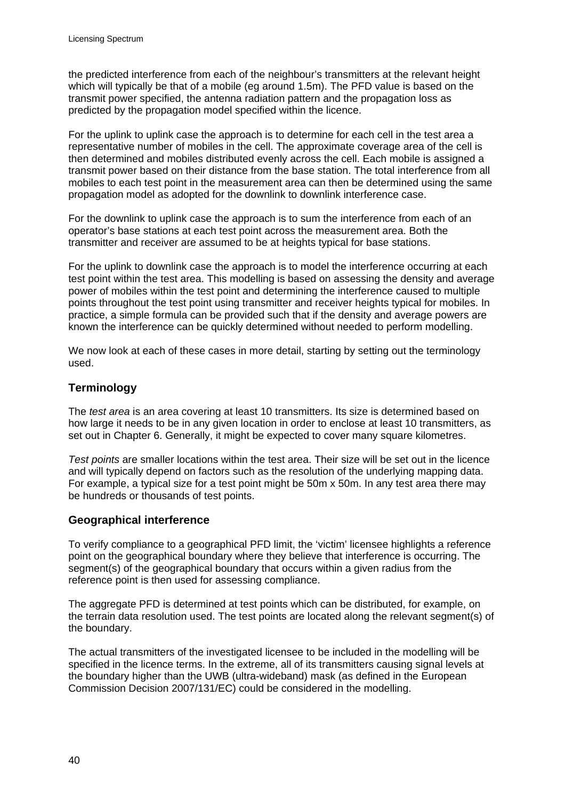the predicted interference from each of the neighbour's transmitters at the relevant height which will typically be that of a mobile (eg around 1.5m). The PFD value is based on the transmit power specified, the antenna radiation pattern and the propagation loss as predicted by the propagation model specified within the licence.

For the uplink to uplink case the approach is to determine for each cell in the test area a representative number of mobiles in the cell. The approximate coverage area of the cell is then determined and mobiles distributed evenly across the cell. Each mobile is assigned a transmit power based on their distance from the base station. The total interference from all mobiles to each test point in the measurement area can then be determined using the same propagation model as adopted for the downlink to downlink interference case.

For the downlink to uplink case the approach is to sum the interference from each of an operator's base stations at each test point across the measurement area. Both the transmitter and receiver are assumed to be at heights typical for base stations.

For the uplink to downlink case the approach is to model the interference occurring at each test point within the test area. This modelling is based on assessing the density and average power of mobiles within the test point and determining the interference caused to multiple points throughout the test point using transmitter and receiver heights typical for mobiles. In practice, a simple formula can be provided such that if the density and average powers are known the interference can be quickly determined without needed to perform modelling.

We now look at each of these cases in more detail, starting by setting out the terminology used.

# **Terminology**

The *test area* is an area covering at least 10 transmitters. Its size is determined based on how large it needs to be in any given location in order to enclose at least 10 transmitters, as set out in Chapter 6. Generally, it might be expected to cover many square kilometres.

*Test points* are smaller locations within the test area. Their size will be set out in the licence and will typically depend on factors such as the resolution of the underlying mapping data. For example, a typical size for a test point might be 50m x 50m. In any test area there may be hundreds or thousands of test points.

#### **Geographical interference**

To verify compliance to a geographical PFD limit, the 'victim' licensee highlights a reference point on the geographical boundary where they believe that interference is occurring. The segment(s) of the geographical boundary that occurs within a given radius from the reference point is then used for assessing compliance.

The aggregate PFD is determined at test points which can be distributed, for example, on the terrain data resolution used. The test points are located along the relevant segment(s) of the boundary.

The actual transmitters of the investigated licensee to be included in the modelling will be specified in the licence terms. In the extreme, all of its transmitters causing signal levels at the boundary higher than the UWB (ultra-wideband) mask (as defined in the European Commission Decision 2007/131/EC) could be considered in the modelling.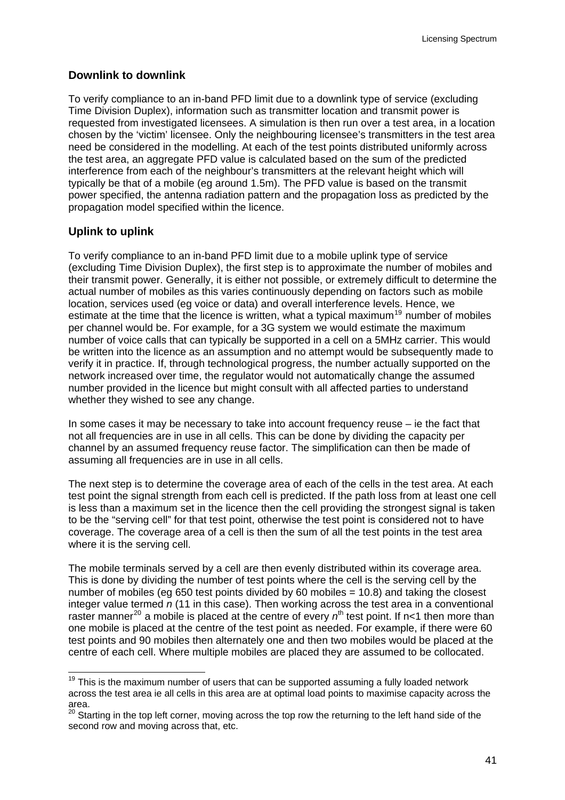#### **Downlink to downlink**

To verify compliance to an in-band PFD limit due to a downlink type of service (excluding Time Division Duplex), information such as transmitter location and transmit power is requested from investigated licensees. A simulation is then run over a test area, in a location chosen by the 'victim' licensee. Only the neighbouring licensee's transmitters in the test area need be considered in the modelling. At each of the test points distributed uniformly across the test area, an aggregate PFD value is calculated based on the sum of the predicted interference from each of the neighbour's transmitters at the relevant height which will typically be that of a mobile (eg around 1.5m). The PFD value is based on the transmit power specified, the antenna radiation pattern and the propagation loss as predicted by the propagation model specified within the licence.

#### **Uplink to uplink**

To verify compliance to an in-band PFD limit due to a mobile uplink type of service (excluding Time Division Duplex), the first step is to approximate the number of mobiles and their transmit power. Generally, it is either not possible, or extremely difficult to determine the actual number of mobiles as this varies continuously depending on factors such as mobile location, services used (eg voice or data) and overall interference levels. Hence, we estimate at the time that the licence is written, what a typical maximum<sup>[19](#page-43-0)</sup> number of mobiles per channel would be. For example, for a 3G system we would estimate the maximum number of voice calls that can typically be supported in a cell on a 5MHz carrier. This would be written into the licence as an assumption and no attempt would be subsequently made to verify it in practice. If, through technological progress, the number actually supported on the network increased over time, the regulator would not automatically change the assumed number provided in the licence but might consult with all affected parties to understand whether they wished to see any change.

In some cases it may be necessary to take into account frequency reuse – ie the fact that not all frequencies are in use in all cells. This can be done by dividing the capacity per channel by an assumed frequency reuse factor. The simplification can then be made of assuming all frequencies are in use in all cells.

The next step is to determine the coverage area of each of the cells in the test area. At each test point the signal strength from each cell is predicted. If the path loss from at least one cell is less than a maximum set in the licence then the cell providing the strongest signal is taken to be the "serving cell" for that test point, otherwise the test point is considered not to have coverage. The coverage area of a cell is then the sum of all the test points in the test area where it is the serving cell.

The mobile terminals served by a cell are then evenly distributed within its coverage area. This is done by dividing the number of test points where the cell is the serving cell by the number of mobiles (eg 650 test points divided by 60 mobiles = 10.8) and taking the closest integer value termed *n* (11 in this case). Then working across the test area in a conventional raster manner<sup>[20](#page-43-1)</sup> a mobile is placed at the centre of every  $n<sup>th</sup>$  test point. If n<1 then more than one mobile is placed at the centre of the test point as needed. For example, if there were 60 test points and 90 mobiles then alternately one and then two mobiles would be placed at the centre of each cell. Where multiple mobiles are placed they are assumed to be collocated.

<span id="page-43-0"></span> $19$  This is the maximum number of users that can be supported assuming a fully loaded network across the test area ie all cells in this area are at optimal load points to maximise capacity across the area.

<span id="page-43-1"></span><sup>20</sup> Starting in the top left corner, moving across the top row the returning to the left hand side of the second row and moving across that, etc.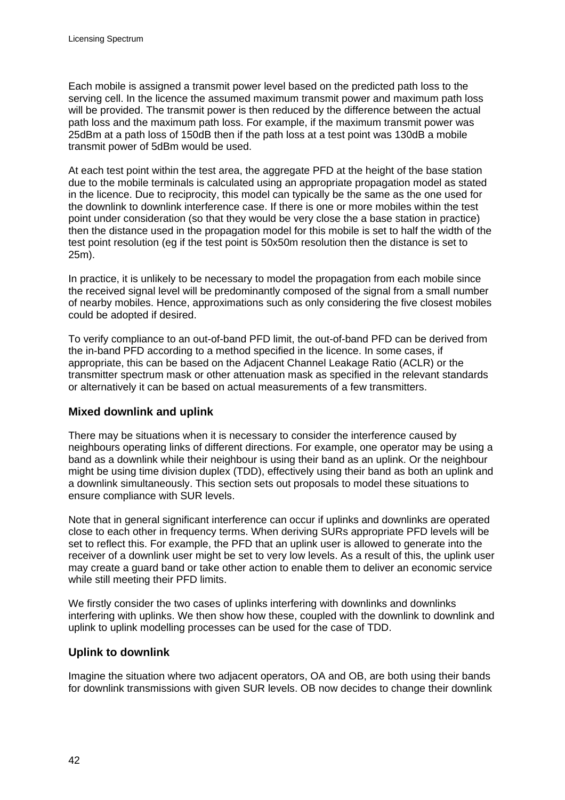Each mobile is assigned a transmit power level based on the predicted path loss to the serving cell. In the licence the assumed maximum transmit power and maximum path loss will be provided. The transmit power is then reduced by the difference between the actual path loss and the maximum path loss. For example, if the maximum transmit power was 25dBm at a path loss of 150dB then if the path loss at a test point was 130dB a mobile transmit power of 5dBm would be used.

At each test point within the test area, the aggregate PFD at the height of the base station due to the mobile terminals is calculated using an appropriate propagation model as stated in the licence. Due to reciprocity, this model can typically be the same as the one used for the downlink to downlink interference case. If there is one or more mobiles within the test point under consideration (so that they would be very close the a base station in practice) then the distance used in the propagation model for this mobile is set to half the width of the test point resolution (eg if the test point is 50x50m resolution then the distance is set to 25m).

In practice, it is unlikely to be necessary to model the propagation from each mobile since the received signal level will be predominantly composed of the signal from a small number of nearby mobiles. Hence, approximations such as only considering the five closest mobiles could be adopted if desired.

To verify compliance to an out-of-band PFD limit, the out-of-band PFD can be derived from the in-band PFD according to a method specified in the licence. In some cases, if appropriate, this can be based on the Adjacent Channel Leakage Ratio (ACLR) or the transmitter spectrum mask or other attenuation mask as specified in the relevant standards or alternatively it can be based on actual measurements of a few transmitters.

# **Mixed downlink and uplink**

There may be situations when it is necessary to consider the interference caused by neighbours operating links of different directions. For example, one operator may be using a band as a downlink while their neighbour is using their band as an uplink. Or the neighbour might be using time division duplex (TDD), effectively using their band as both an uplink and a downlink simultaneously. This section sets out proposals to model these situations to ensure compliance with SUR levels.

Note that in general significant interference can occur if uplinks and downlinks are operated close to each other in frequency terms. When deriving SURs appropriate PFD levels will be set to reflect this. For example, the PFD that an uplink user is allowed to generate into the receiver of a downlink user might be set to very low levels. As a result of this, the uplink user may create a guard band or take other action to enable them to deliver an economic service while still meeting their PFD limits.

We firstly consider the two cases of uplinks interfering with downlinks and downlinks interfering with uplinks. We then show how these, coupled with the downlink to downlink and uplink to uplink modelling processes can be used for the case of TDD.

# **Uplink to downlink**

Imagine the situation where two adjacent operators, OA and OB, are both using their bands for downlink transmissions with given SUR levels. OB now decides to change their downlink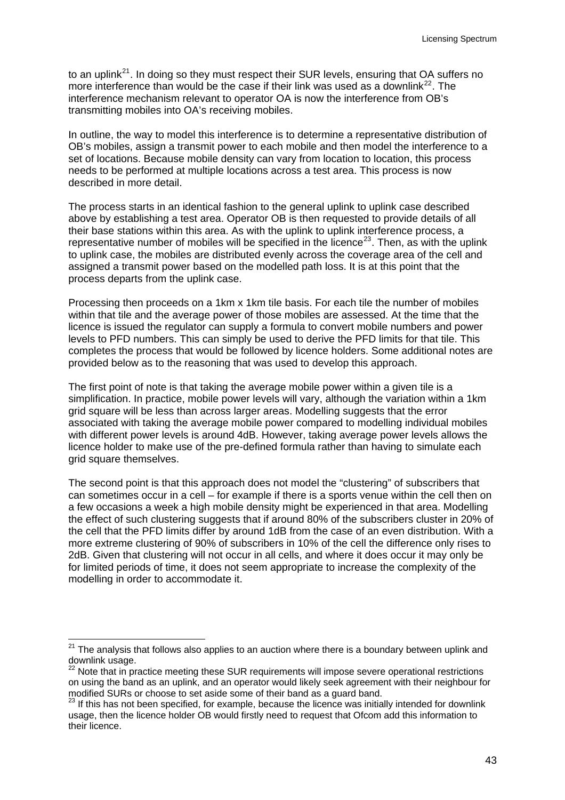to an uplink<sup>[21](#page-45-0)</sup>. In doing so they must respect their SUR levels, ensuring that OA suffers no more interference than would be the case if their link was used as a downlink<sup>[22](#page-45-1)</sup>. The interference mechanism relevant to operator OA is now the interference from OB's transmitting mobiles into OA's receiving mobiles.

In outline, the way to model this interference is to determine a representative distribution of OB's mobiles, assign a transmit power to each mobile and then model the interference to a set of locations. Because mobile density can vary from location to location, this process needs to be performed at multiple locations across a test area. This process is now described in more detail.

The process starts in an identical fashion to the general uplink to uplink case described above by establishing a test area. Operator OB is then requested to provide details of all their base stations within this area. As with the uplink to uplink interference process, a representative number of mobiles will be specified in the licence<sup>[23](#page-45-2)</sup>. Then, as with the uplink to uplink case, the mobiles are distributed evenly across the coverage area of the cell and assigned a transmit power based on the modelled path loss. It is at this point that the process departs from the uplink case.

Processing then proceeds on a 1km x 1km tile basis. For each tile the number of mobiles within that tile and the average power of those mobiles are assessed. At the time that the licence is issued the regulator can supply a formula to convert mobile numbers and power levels to PFD numbers. This can simply be used to derive the PFD limits for that tile. This completes the process that would be followed by licence holders. Some additional notes are provided below as to the reasoning that was used to develop this approach.

The first point of note is that taking the average mobile power within a given tile is a simplification. In practice, mobile power levels will vary, although the variation within a 1km grid square will be less than across larger areas. Modelling suggests that the error associated with taking the average mobile power compared to modelling individual mobiles with different power levels is around 4dB. However, taking average power levels allows the licence holder to make use of the pre-defined formula rather than having to simulate each grid square themselves.

The second point is that this approach does not model the "clustering" of subscribers that can sometimes occur in a cell – for example if there is a sports venue within the cell then on a few occasions a week a high mobile density might be experienced in that area. Modelling the effect of such clustering suggests that if around 80% of the subscribers cluster in 20% of the cell that the PFD limits differ by around 1dB from the case of an even distribution. With a more extreme clustering of 90% of subscribers in 10% of the cell the difference only rises to 2dB. Given that clustering will not occur in all cells, and where it does occur it may only be for limited periods of time, it does not seem appropriate to increase the complexity of the modelling in order to accommodate it.

<span id="page-45-0"></span> $\overline{a}$  $21$  The analysis that follows also applies to an auction where there is a boundary between uplink and downlink usage.

<span id="page-45-1"></span><sup>&</sup>lt;sup>22</sup> Note that in practice meeting these SUR requirements will impose severe operational restrictions on using the band as an uplink, and an operator would likely seek agreement with their neighbour for modified SURs or choose to set aside some of their band as a guard band.

<span id="page-45-2"></span> $23$  If this has not been specified, for example, because the licence was initially intended for downlink usage, then the licence holder OB would firstly need to request that Ofcom add this information to their licence.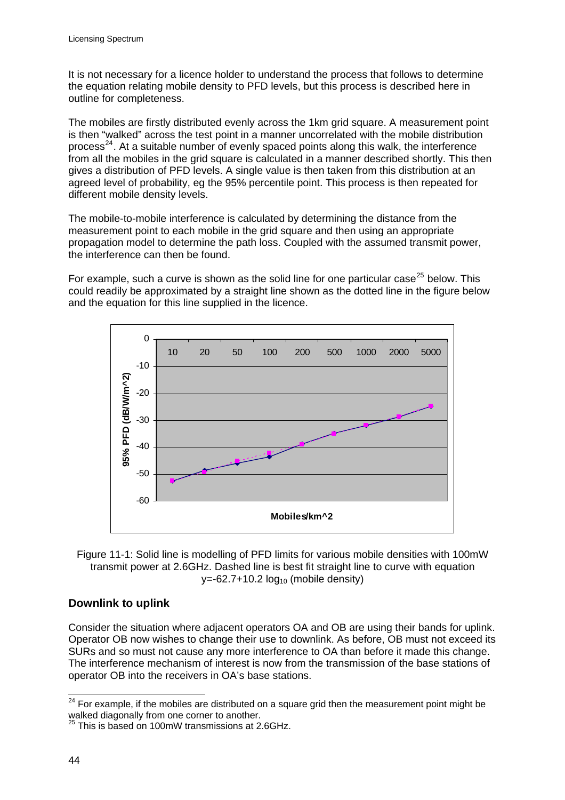It is not necessary for a licence holder to understand the process that follows to determine the equation relating mobile density to PFD levels, but this process is described here in outline for completeness.

The mobiles are firstly distributed evenly across the 1km grid square. A measurement point is then "walked" across the test point in a manner uncorrelated with the mobile distribution process<sup>[24](#page-46-0)</sup>. At a suitable number of evenly spaced points along this walk, the interference from all the mobiles in the grid square is calculated in a manner described shortly. This then gives a distribution of PFD levels. A single value is then taken from this distribution at an agreed level of probability, eg the 95% percentile point. This process is then repeated for different mobile density levels.

The mobile-to-mobile interference is calculated by determining the distance from the measurement point to each mobile in the grid square and then using an appropriate propagation model to determine the path loss. Coupled with the assumed transmit power, the interference can then be found.

For example, such a curve is shown as the solid line for one particular case<sup>[25](#page-46-1)</sup> below. This could readily be approximated by a straight line shown as the dotted line in the figure below and the equation for this line supplied in the licence.





# **Downlink to uplink**

Consider the situation where adjacent operators OA and OB are using their bands for uplink. Operator OB now wishes to change their use to downlink. As before, OB must not exceed its SURs and so must not cause any more interference to OA than before it made this change. The interference mechanism of interest is now from the transmission of the base stations of operator OB into the receivers in OA's base stations.

<span id="page-46-0"></span> $24$  For example, if the mobiles are distributed on a square grid then the measurement point might be walked diagonally from one corner to another.

<span id="page-46-1"></span><sup>25</sup> This is based on 100mW transmissions at 2.6GHz.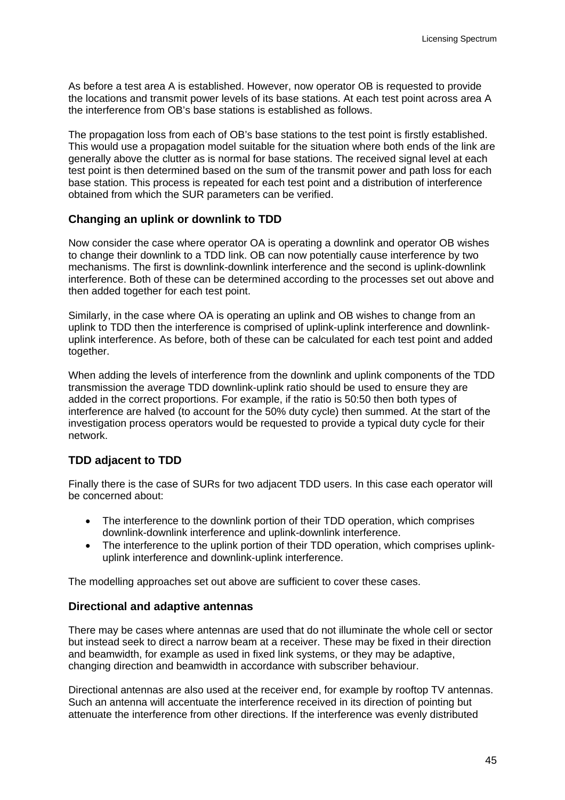As before a test area A is established. However, now operator OB is requested to provide the locations and transmit power levels of its base stations. At each test point across area A the interference from OB's base stations is established as follows.

The propagation loss from each of OB's base stations to the test point is firstly established. This would use a propagation model suitable for the situation where both ends of the link are generally above the clutter as is normal for base stations. The received signal level at each test point is then determined based on the sum of the transmit power and path loss for each base station. This process is repeated for each test point and a distribution of interference obtained from which the SUR parameters can be verified.

#### **Changing an uplink or downlink to TDD**

Now consider the case where operator OA is operating a downlink and operator OB wishes to change their downlink to a TDD link. OB can now potentially cause interference by two mechanisms. The first is downlink-downlink interference and the second is uplink-downlink interference. Both of these can be determined according to the processes set out above and then added together for each test point.

Similarly, in the case where OA is operating an uplink and OB wishes to change from an uplink to TDD then the interference is comprised of uplink-uplink interference and downlinkuplink interference. As before, both of these can be calculated for each test point and added together.

When adding the levels of interference from the downlink and uplink components of the TDD transmission the average TDD downlink-uplink ratio should be used to ensure they are added in the correct proportions. For example, if the ratio is 50:50 then both types of interference are halved (to account for the 50% duty cycle) then summed. At the start of the investigation process operators would be requested to provide a typical duty cycle for their network.

# **TDD adjacent to TDD**

Finally there is the case of SURs for two adjacent TDD users. In this case each operator will be concerned about:

- The interference to the downlink portion of their TDD operation, which comprises downlink-downlink interference and uplink-downlink interference.
- The interference to the uplink portion of their TDD operation, which comprises uplinkuplink interference and downlink-uplink interference.

The modelling approaches set out above are sufficient to cover these cases.

#### **Directional and adaptive antennas**

There may be cases where antennas are used that do not illuminate the whole cell or sector but instead seek to direct a narrow beam at a receiver. These may be fixed in their direction and beamwidth, for example as used in fixed link systems, or they may be adaptive, changing direction and beamwidth in accordance with subscriber behaviour.

Directional antennas are also used at the receiver end, for example by rooftop TV antennas. Such an antenna will accentuate the interference received in its direction of pointing but attenuate the interference from other directions. If the interference was evenly distributed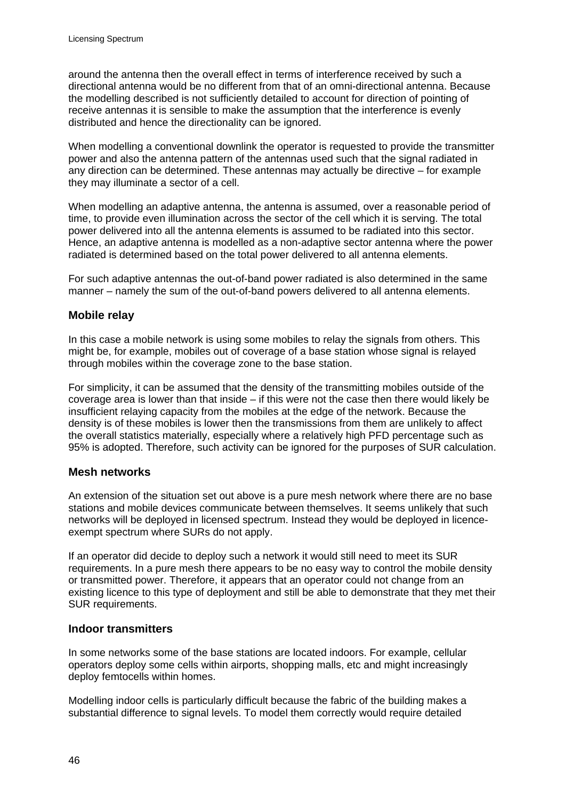around the antenna then the overall effect in terms of interference received by such a directional antenna would be no different from that of an omni-directional antenna. Because the modelling described is not sufficiently detailed to account for direction of pointing of receive antennas it is sensible to make the assumption that the interference is evenly distributed and hence the directionality can be ignored.

When modelling a conventional downlink the operator is requested to provide the transmitter power and also the antenna pattern of the antennas used such that the signal radiated in any direction can be determined. These antennas may actually be directive – for example they may illuminate a sector of a cell.

When modelling an adaptive antenna, the antenna is assumed, over a reasonable period of time, to provide even illumination across the sector of the cell which it is serving. The total power delivered into all the antenna elements is assumed to be radiated into this sector. Hence, an adaptive antenna is modelled as a non-adaptive sector antenna where the power radiated is determined based on the total power delivered to all antenna elements.

For such adaptive antennas the out-of-band power radiated is also determined in the same manner – namely the sum of the out-of-band powers delivered to all antenna elements.

#### **Mobile relay**

In this case a mobile network is using some mobiles to relay the signals from others. This might be, for example, mobiles out of coverage of a base station whose signal is relayed through mobiles within the coverage zone to the base station.

For simplicity, it can be assumed that the density of the transmitting mobiles outside of the coverage area is lower than that inside – if this were not the case then there would likely be insufficient relaying capacity from the mobiles at the edge of the network. Because the density is of these mobiles is lower then the transmissions from them are unlikely to affect the overall statistics materially, especially where a relatively high PFD percentage such as 95% is adopted. Therefore, such activity can be ignored for the purposes of SUR calculation.

#### **Mesh networks**

An extension of the situation set out above is a pure mesh network where there are no base stations and mobile devices communicate between themselves. It seems unlikely that such networks will be deployed in licensed spectrum. Instead they would be deployed in licenceexempt spectrum where SURs do not apply.

If an operator did decide to deploy such a network it would still need to meet its SUR requirements. In a pure mesh there appears to be no easy way to control the mobile density or transmitted power. Therefore, it appears that an operator could not change from an existing licence to this type of deployment and still be able to demonstrate that they met their SUR requirements.

#### **Indoor transmitters**

In some networks some of the base stations are located indoors. For example, cellular operators deploy some cells within airports, shopping malls, etc and might increasingly deploy femtocells within homes.

Modelling indoor cells is particularly difficult because the fabric of the building makes a substantial difference to signal levels. To model them correctly would require detailed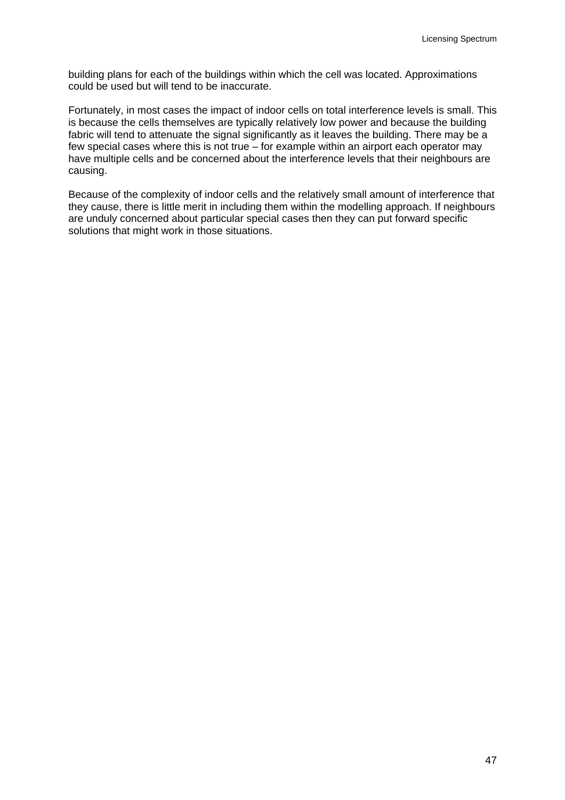building plans for each of the buildings within which the cell was located. Approximations could be used but will tend to be inaccurate.

Fortunately, in most cases the impact of indoor cells on total interference levels is small. This is because the cells themselves are typically relatively low power and because the building fabric will tend to attenuate the signal significantly as it leaves the building. There may be a few special cases where this is not true – for example within an airport each operator may have multiple cells and be concerned about the interference levels that their neighbours are causing.

Because of the complexity of indoor cells and the relatively small amount of interference that they cause, there is little merit in including them within the modelling approach. If neighbours are unduly concerned about particular special cases then they can put forward specific solutions that might work in those situations.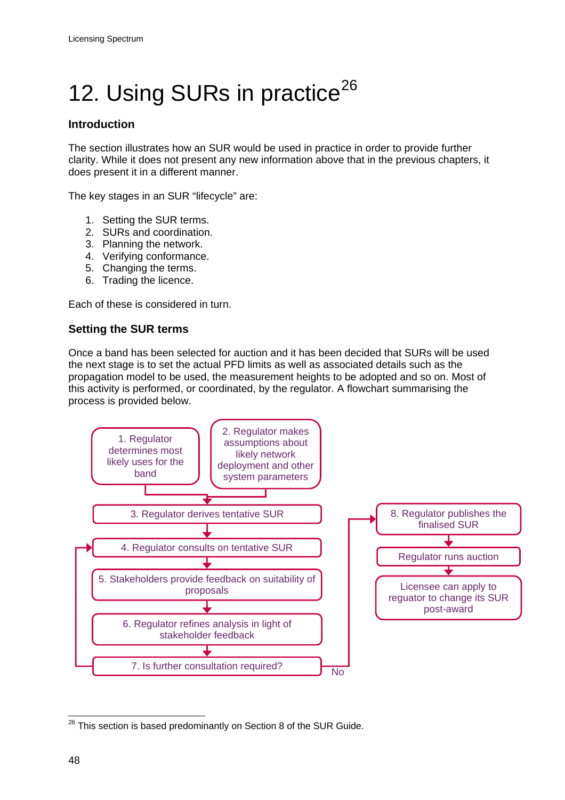# <span id="page-50-0"></span>12. Using SURs in practice<sup>[26](#page-50-1)</sup>

# **Introduction**

The section illustrates how an SUR would be used in practice in order to provide further clarity. While it does not present any new information above that in the previous chapters, it does present it in a different manner.

The key stages in an SUR "lifecycle" are:

- 1. Setting the SUR terms.
- 2. SURs and coordination.
- 3. Planning the network.
- 4. Verifying conformance.
- 5. Changing the terms.
- 6. Trading the licence.

Each of these is considered in turn.

# **Setting the SUR terms**

Once a band has been selected for auction and it has been decided that SURs will be used the next stage is to set the actual PFD limits as well as associated details such as the propagation model to be used, the measurement heights to be adopted and so on. Most of this activity is performed, or coordinated, by the regulator. A flowchart summarising the process is provided below.



<span id="page-50-1"></span> $26$  This section is based predominantly on Section 8 of the SUR Guide.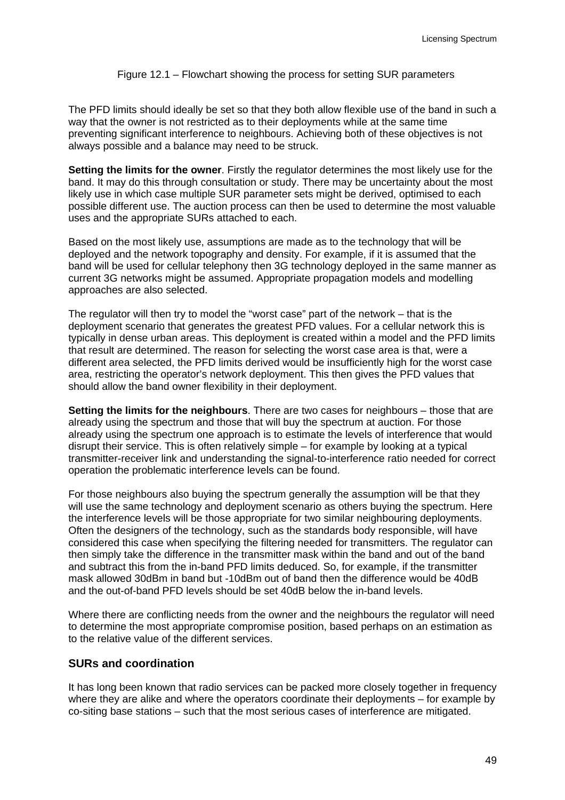#### Figure 12.1 – Flowchart showing the process for setting SUR parameters

The PFD limits should ideally be set so that they both allow flexible use of the band in such a way that the owner is not restricted as to their deployments while at the same time preventing significant interference to neighbours. Achieving both of these objectives is not always possible and a balance may need to be struck.

**Setting the limits for the owner**. Firstly the regulator determines the most likely use for the band. It may do this through consultation or study. There may be uncertainty about the most likely use in which case multiple SUR parameter sets might be derived, optimised to each possible different use. The auction process can then be used to determine the most valuable uses and the appropriate SURs attached to each.

Based on the most likely use, assumptions are made as to the technology that will be deployed and the network topography and density. For example, if it is assumed that the band will be used for cellular telephony then 3G technology deployed in the same manner as current 3G networks might be assumed. Appropriate propagation models and modelling approaches are also selected.

The regulator will then try to model the "worst case" part of the network – that is the deployment scenario that generates the greatest PFD values. For a cellular network this is typically in dense urban areas. This deployment is created within a model and the PFD limits that result are determined. The reason for selecting the worst case area is that, were a different area selected, the PFD limits derived would be insufficiently high for the worst case area, restricting the operator's network deployment. This then gives the PFD values that should allow the band owner flexibility in their deployment.

**Setting the limits for the neighbours**. There are two cases for neighbours – those that are already using the spectrum and those that will buy the spectrum at auction. For those already using the spectrum one approach is to estimate the levels of interference that would disrupt their service. This is often relatively simple – for example by looking at a typical transmitter-receiver link and understanding the signal-to-interference ratio needed for correct operation the problematic interference levels can be found.

For those neighbours also buying the spectrum generally the assumption will be that they will use the same technology and deployment scenario as others buying the spectrum. Here the interference levels will be those appropriate for two similar neighbouring deployments. Often the designers of the technology, such as the standards body responsible, will have considered this case when specifying the filtering needed for transmitters. The regulator can then simply take the difference in the transmitter mask within the band and out of the band and subtract this from the in-band PFD limits deduced. So, for example, if the transmitter mask allowed 30dBm in band but -10dBm out of band then the difference would be 40dB and the out-of-band PFD levels should be set 40dB below the in-band levels.

Where there are conflicting needs from the owner and the neighbours the regulator will need to determine the most appropriate compromise position, based perhaps on an estimation as to the relative value of the different services.

### **SURs and coordination**

It has long been known that radio services can be packed more closely together in frequency where they are alike and where the operators coordinate their deployments – for example by co-siting base stations – such that the most serious cases of interference are mitigated.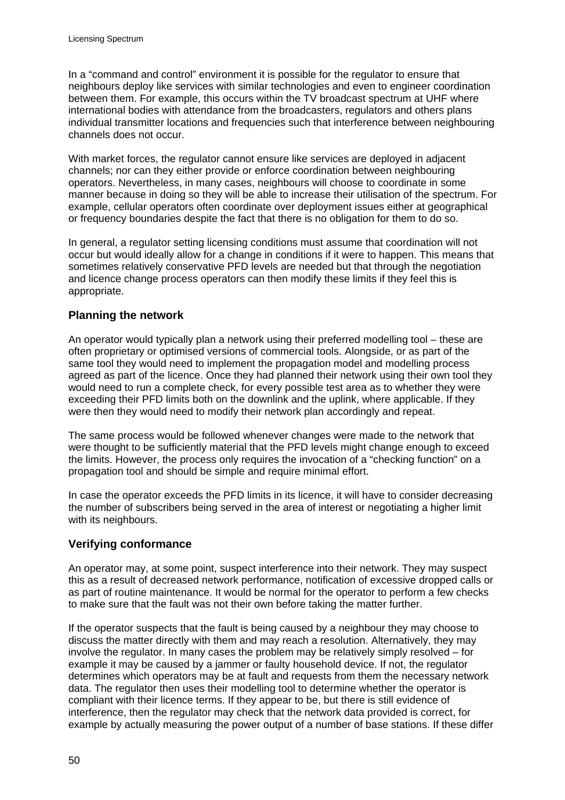In a "command and control" environment it is possible for the regulator to ensure that neighbours deploy like services with similar technologies and even to engineer coordination between them. For example, this occurs within the TV broadcast spectrum at UHF where international bodies with attendance from the broadcasters, regulators and others plans individual transmitter locations and frequencies such that interference between neighbouring channels does not occur.

With market forces, the regulator cannot ensure like services are deployed in adjacent channels; nor can they either provide or enforce coordination between neighbouring operators. Nevertheless, in many cases, neighbours will choose to coordinate in some manner because in doing so they will be able to increase their utilisation of the spectrum. For example, cellular operators often coordinate over deployment issues either at geographical or frequency boundaries despite the fact that there is no obligation for them to do so.

In general, a regulator setting licensing conditions must assume that coordination will not occur but would ideally allow for a change in conditions if it were to happen. This means that sometimes relatively conservative PFD levels are needed but that through the negotiation and licence change process operators can then modify these limits if they feel this is appropriate.

# **Planning the network**

An operator would typically plan a network using their preferred modelling tool – these are often proprietary or optimised versions of commercial tools. Alongside, or as part of the same tool they would need to implement the propagation model and modelling process agreed as part of the licence. Once they had planned their network using their own tool they would need to run a complete check, for every possible test area as to whether they were exceeding their PFD limits both on the downlink and the uplink, where applicable. If they were then they would need to modify their network plan accordingly and repeat.

The same process would be followed whenever changes were made to the network that were thought to be sufficiently material that the PFD levels might change enough to exceed the limits. However, the process only requires the invocation of a "checking function" on a propagation tool and should be simple and require minimal effort.

In case the operator exceeds the PFD limits in its licence, it will have to consider decreasing the number of subscribers being served in the area of interest or negotiating a higher limit with its neighbours.

# **Verifying conformance**

An operator may, at some point, suspect interference into their network. They may suspect this as a result of decreased network performance, notification of excessive dropped calls or as part of routine maintenance. It would be normal for the operator to perform a few checks to make sure that the fault was not their own before taking the matter further.

If the operator suspects that the fault is being caused by a neighbour they may choose to discuss the matter directly with them and may reach a resolution. Alternatively, they may involve the regulator. In many cases the problem may be relatively simply resolved – for example it may be caused by a jammer or faulty household device. If not, the regulator determines which operators may be at fault and requests from them the necessary network data. The regulator then uses their modelling tool to determine whether the operator is compliant with their licence terms. If they appear to be, but there is still evidence of interference, then the regulator may check that the network data provided is correct, for example by actually measuring the power output of a number of base stations. If these differ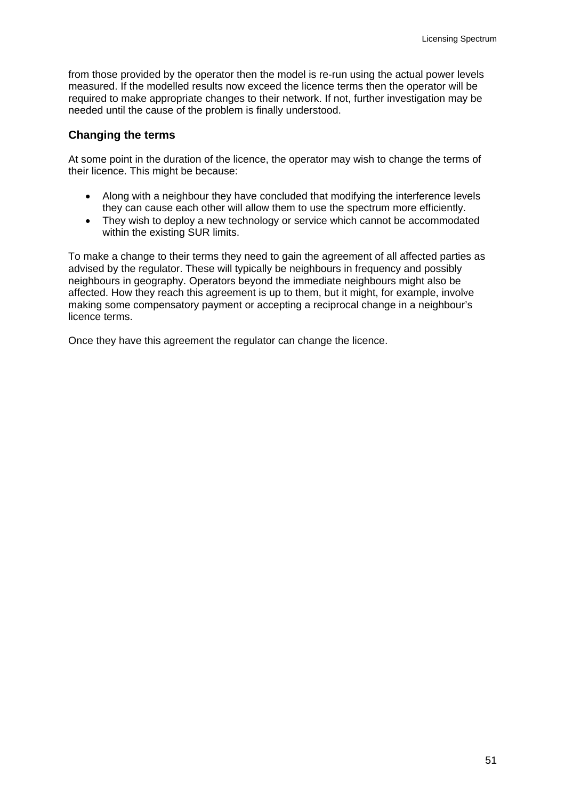from those provided by the operator then the model is re-run using the actual power levels measured. If the modelled results now exceed the licence terms then the operator will be required to make appropriate changes to their network. If not, further investigation may be needed until the cause of the problem is finally understood.

#### **Changing the terms**

At some point in the duration of the licence, the operator may wish to change the terms of their licence. This might be because:

- Along with a neighbour they have concluded that modifying the interference levels they can cause each other will allow them to use the spectrum more efficiently.
- They wish to deploy a new technology or service which cannot be accommodated within the existing SUR limits.

To make a change to their terms they need to gain the agreement of all affected parties as advised by the regulator. These will typically be neighbours in frequency and possibly neighbours in geography. Operators beyond the immediate neighbours might also be affected. How they reach this agreement is up to them, but it might, for example, involve making some compensatory payment or accepting a reciprocal change in a neighbour's licence terms.

Once they have this agreement the regulator can change the licence.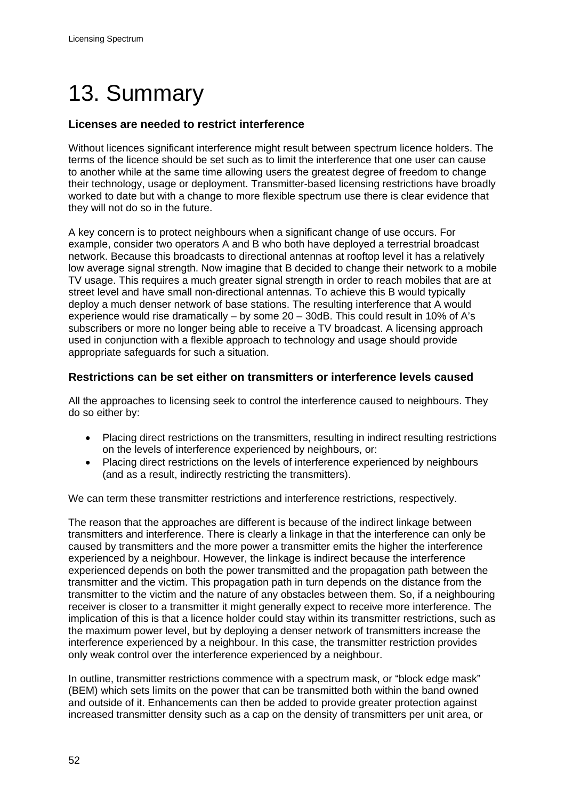# <span id="page-54-0"></span>13. Summary

# **Licenses are needed to restrict interference**

Without licences significant interference might result between spectrum licence holders. The terms of the licence should be set such as to limit the interference that one user can cause to another while at the same time allowing users the greatest degree of freedom to change their technology, usage or deployment. Transmitter-based licensing restrictions have broadly worked to date but with a change to more flexible spectrum use there is clear evidence that they will not do so in the future.

A key concern is to protect neighbours when a significant change of use occurs. For example, consider two operators A and B who both have deployed a terrestrial broadcast network. Because this broadcasts to directional antennas at rooftop level it has a relatively low average signal strength. Now imagine that B decided to change their network to a mobile TV usage. This requires a much greater signal strength in order to reach mobiles that are at street level and have small non-directional antennas. To achieve this B would typically deploy a much denser network of base stations. The resulting interference that A would experience would rise dramatically – by some 20 – 30dB. This could result in 10% of A's subscribers or more no longer being able to receive a TV broadcast. A licensing approach used in conjunction with a flexible approach to technology and usage should provide appropriate safeguards for such a situation.

#### **Restrictions can be set either on transmitters or interference levels caused**

All the approaches to licensing seek to control the interference caused to neighbours. They do so either by:

- Placing direct restrictions on the transmitters, resulting in indirect resulting restrictions on the levels of interference experienced by neighbours, or:
- Placing direct restrictions on the levels of interference experienced by neighbours (and as a result, indirectly restricting the transmitters).

We can term these transmitter restrictions and interference restrictions, respectively.

The reason that the approaches are different is because of the indirect linkage between transmitters and interference. There is clearly a linkage in that the interference can only be caused by transmitters and the more power a transmitter emits the higher the interference experienced by a neighbour. However, the linkage is indirect because the interference experienced depends on both the power transmitted and the propagation path between the transmitter and the victim. This propagation path in turn depends on the distance from the transmitter to the victim and the nature of any obstacles between them. So, if a neighbouring receiver is closer to a transmitter it might generally expect to receive more interference. The implication of this is that a licence holder could stay within its transmitter restrictions, such as the maximum power level, but by deploying a denser network of transmitters increase the interference experienced by a neighbour. In this case, the transmitter restriction provides only weak control over the interference experienced by a neighbour.

In outline, transmitter restrictions commence with a spectrum mask, or "block edge mask" (BEM) which sets limits on the power that can be transmitted both within the band owned and outside of it. Enhancements can then be added to provide greater protection against increased transmitter density such as a cap on the density of transmitters per unit area, or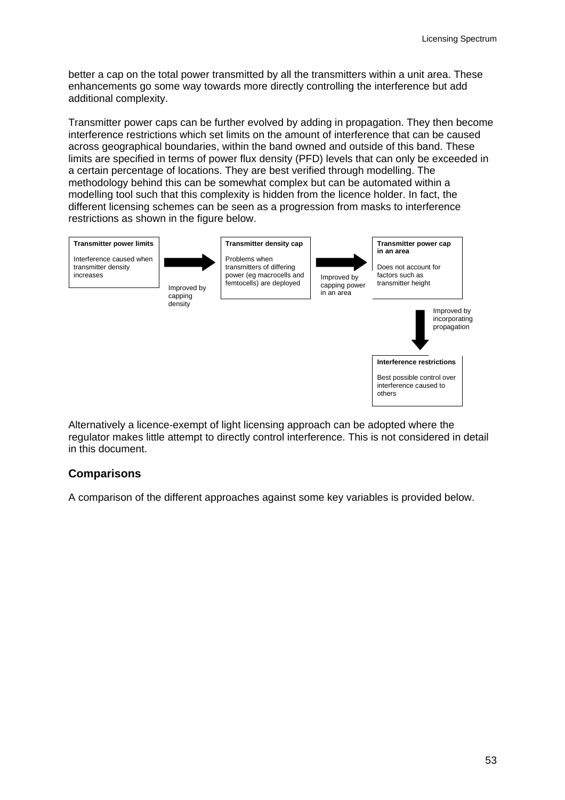better a cap on the total power transmitted by all the transmitters within a unit area. These enhancements go some way towards more directly controlling the interference but add additional complexity.

Transmitter power caps can be further evolved by adding in propagation. They then become interference restrictions which set limits on the amount of interference that can be caused across geographical boundaries, within the band owned and outside of this band. These limits are specified in terms of power flux density (PFD) levels that can only be exceeded in a certain percentage of locations. They are best verified through modelling. The methodology behind this can be somewhat complex but can be automated within a modelling tool such that this complexity is hidden from the licence holder. In fact, the different licensing schemes can be seen as a progression from masks to interference restrictions as shown in the figure below.



Alternatively a licence-exempt of light licensing approach can be adopted where the regulator makes little attempt to directly control interference. This is not considered in detail in this document.

# **Comparisons**

A comparison of the different approaches against some key variables is provided below.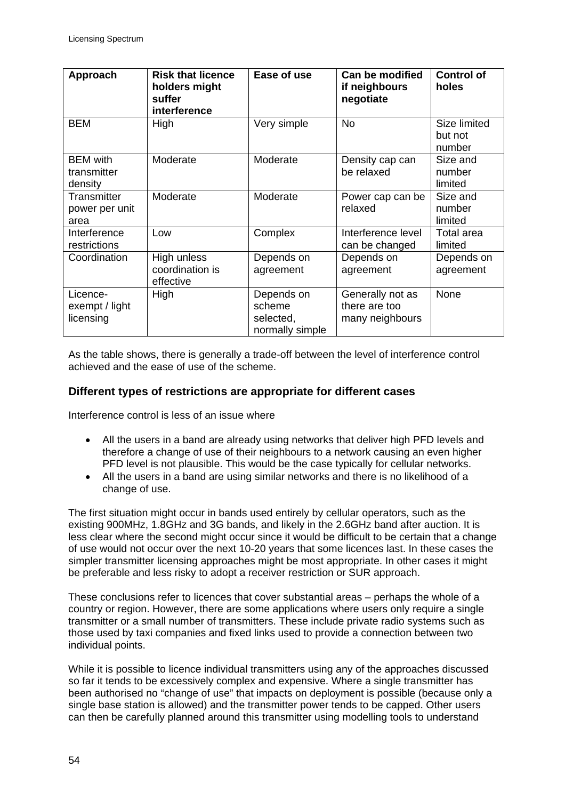| Approach                                  | <b>Risk that licence</b><br>holders might<br>suffer<br>interference | Ease of use                                          | Can be modified<br>if neighbours<br>negotiate        | <b>Control of</b><br>holes        |
|-------------------------------------------|---------------------------------------------------------------------|------------------------------------------------------|------------------------------------------------------|-----------------------------------|
| <b>BEM</b>                                | High                                                                | Very simple                                          | <b>No</b>                                            | Size limited<br>but not<br>number |
| <b>BEM</b> with<br>transmitter<br>density | Moderate                                                            | Moderate                                             | Density cap can<br>be relaxed                        | Size and<br>number<br>limited     |
| Transmitter<br>power per unit<br>area     | Moderate                                                            | Moderate                                             | Power cap can be<br>relaxed                          | Size and<br>number<br>limited     |
| Interference<br>restrictions              | Low                                                                 | Complex                                              | Interference level<br>can be changed                 | Total area<br>limited             |
| Coordination                              | High unless<br>coordination is<br>effective                         | Depends on<br>agreement                              | Depends on<br>agreement                              | Depends on<br>agreement           |
| Licence-<br>exempt / light<br>licensing   | High                                                                | Depends on<br>scheme<br>selected,<br>normally simple | Generally not as<br>there are too<br>many neighbours | None                              |

As the table shows, there is generally a trade-off between the level of interference control achieved and the ease of use of the scheme.

#### **Different types of restrictions are appropriate for different cases**

Interference control is less of an issue where

- All the users in a band are already using networks that deliver high PFD levels and therefore a change of use of their neighbours to a network causing an even higher PFD level is not plausible. This would be the case typically for cellular networks.
- All the users in a band are using similar networks and there is no likelihood of a change of use.

The first situation might occur in bands used entirely by cellular operators, such as the existing 900MHz, 1.8GHz and 3G bands, and likely in the 2.6GHz band after auction. It is less clear where the second might occur since it would be difficult to be certain that a change of use would not occur over the next 10-20 years that some licences last. In these cases the simpler transmitter licensing approaches might be most appropriate. In other cases it might be preferable and less risky to adopt a receiver restriction or SUR approach.

These conclusions refer to licences that cover substantial areas – perhaps the whole of a country or region. However, there are some applications where users only require a single transmitter or a small number of transmitters. These include private radio systems such as those used by taxi companies and fixed links used to provide a connection between two individual points.

While it is possible to licence individual transmitters using any of the approaches discussed so far it tends to be excessively complex and expensive. Where a single transmitter has been authorised no "change of use" that impacts on deployment is possible (because only a single base station is allowed) and the transmitter power tends to be capped. Other users can then be carefully planned around this transmitter using modelling tools to understand